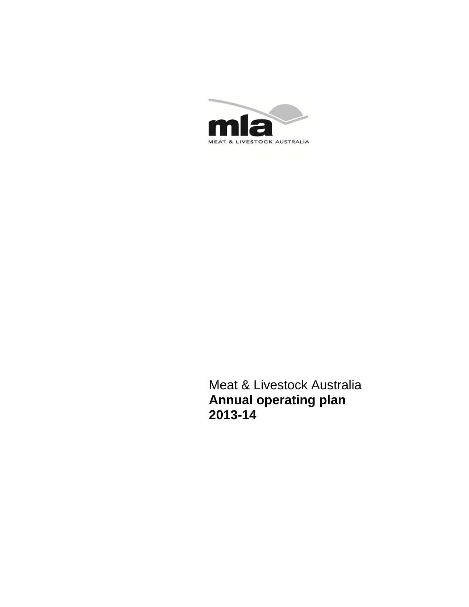

Meat & Livestock Australia **Annual operating plan 2013-14**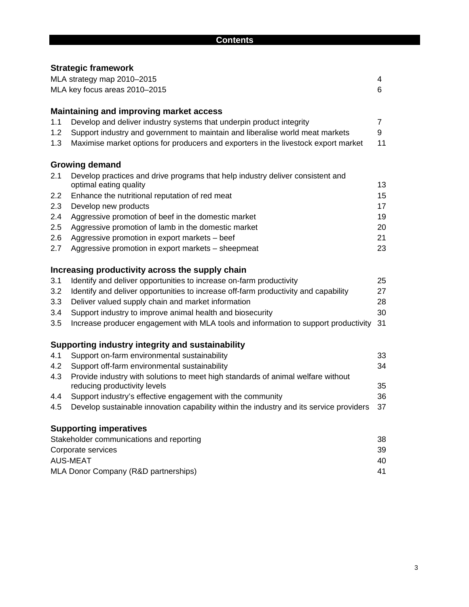|     | <b>Strategic framework</b>                                                                                       |                |
|-----|------------------------------------------------------------------------------------------------------------------|----------------|
|     | MLA strategy map 2010-2015                                                                                       | 4              |
|     | MLA key focus areas 2010-2015                                                                                    | 6              |
|     | <b>Maintaining and improving market access</b>                                                                   |                |
| 1.1 | Develop and deliver industry systems that underpin product integrity                                             | $\overline{7}$ |
| 1.2 | Support industry and government to maintain and liberalise world meat markets                                    | 9              |
| 1.3 | Maximise market options for producers and exporters in the livestock export market                               | 11             |
|     | <b>Growing demand</b>                                                                                            |                |
| 2.1 | Develop practices and drive programs that help industry deliver consistent and<br>optimal eating quality         | 13             |
| 2.2 | Enhance the nutritional reputation of red meat                                                                   | 15             |
| 2.3 | Develop new products                                                                                             | 17             |
| 2.4 | Aggressive promotion of beef in the domestic market                                                              | 19             |
| 2.5 | Aggressive promotion of lamb in the domestic market                                                              | 20             |
| 2.6 | Aggressive promotion in export markets - beef                                                                    | 21             |
| 2.7 | Aggressive promotion in export markets - sheepmeat                                                               | 23             |
|     | Increasing productivity across the supply chain                                                                  |                |
| 3.1 | Identify and deliver opportunities to increase on-farm productivity                                              | 25             |
| 3.2 | Identify and deliver opportunities to increase off-farm productivity and capability                              | 27             |
| 3.3 | Deliver valued supply chain and market information                                                               | 28             |
| 3.4 | Support industry to improve animal health and biosecurity                                                        | 30             |
| 3.5 | Increase producer engagement with MLA tools and information to support productivity                              | 31             |
|     | Supporting industry integrity and sustainability                                                                 |                |
| 4.1 | Support on-farm environmental sustainability                                                                     | 33             |
| 4.2 | Support off-farm environmental sustainability                                                                    | 34             |
| 4.3 | Provide industry with solutions to meet high standards of animal welfare without<br>reducing productivity levels | 35             |
| 4.4 | Support industry's effective engagement with the community                                                       | 36             |
| 4.5 | Develop sustainable innovation capability within the industry and its service providers                          | 37             |
|     | <b>Supporting imperatives</b>                                                                                    |                |
|     | Stakeholder communications and reporting                                                                         | 38             |
|     | Corporate services                                                                                               | 39             |
|     | <b>AUS-MEAT</b>                                                                                                  | 40             |
|     | MLA Donor Company (R&D partnerships)                                                                             | 41             |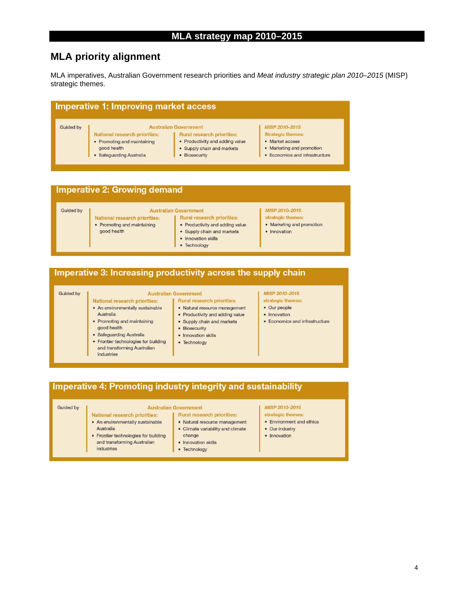## **MLA priority alignment**

MLA imperatives, Australian Government research priorities and *Meat industry strategic plan 2010–2015* (MISP) strategic themes.

| Imperative 1: Improving market access<br><b>Australian Government</b><br>MISP 2010-2015<br><b>Guided by</b><br>National research priorities:<br><b>Rural research priorities:</b><br><b>Strategic themes:</b> |                             |                                 |                                |  |  |  |  |  |  |  |
|---------------------------------------------------------------------------------------------------------------------------------------------------------------------------------------------------------------|-----------------------------|---------------------------------|--------------------------------|--|--|--|--|--|--|--|
|                                                                                                                                                                                                               | • Promoting and maintaining | • Productivity and adding value | • Market access                |  |  |  |  |  |  |  |
|                                                                                                                                                                                                               | good health                 | • Supply chain and markets      | • Marketing and promotion      |  |  |  |  |  |  |  |
|                                                                                                                                                                                                               | • Safeguarding Australia    | Biosecurity                     | • Economics and infrastructure |  |  |  |  |  |  |  |

### **Imperative 2: Growing demand**

Guided by

#### **Australian Government**

- Rural research priorities:
- Promoting and maintaining good health

National research priorities:

- Productivity and adding value
- Supply chain and markets
- Innovation skills • Technology

#### MISP 2010-2015 strategic themes:

- Marketing and promotion
- Innovation
- 

### Imperative 3: Increasing productivity across the supply chain

#### Guided by

National research priorities: • An environmentally sustainable

• Frontier technologies for building

and transforming Australian

• Promoting and maintaining

· Safeguarding Australia

Australia

good health

industries

Australia

#### **Australian Government Rural research priorities:**

- · Natural resource management • Productivity and adding value
- Supply chain and markets
- Biosecurity
- Innovation skills
- Technology

#### MISP 2010-2015 strategic themes:

- · Our people
- · Innovation
- Economics and infrastructure

### Imperative 4: Promoting industry integrity and sustainability

#### **Guided by**

#### **Australian Government**

- National research priorities: Rural research priorities:
	- · Natural resource management • Climate variability and climate
- Frontier technologies for building and transforming Australian industries

### • Innovation skills

• Technology

#### MISP 2010-2015

- 
- Environment and ethics
- Our industry
- Innovation

4

### • An environmentally sustainable change

#### strategic themes:

- -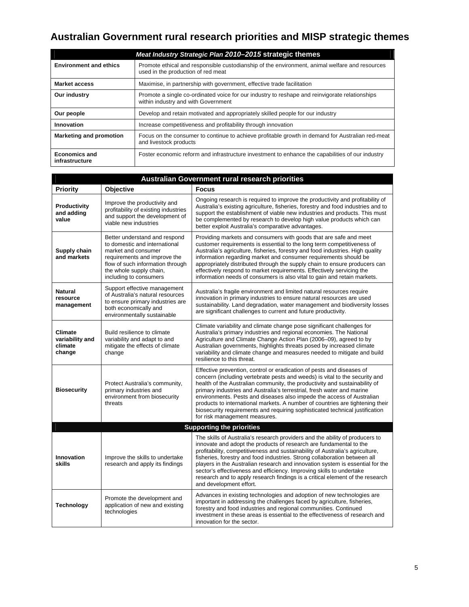# **Australian Government rural research priorities and MISP strategic themes**

| Meat Industry Strategic Plan 2010-2015 strategic themes |                                                                                                                                       |  |  |  |  |  |  |
|---------------------------------------------------------|---------------------------------------------------------------------------------------------------------------------------------------|--|--|--|--|--|--|
| <b>Environment and ethics</b>                           | Promote ethical and responsible custodianship of the environment, animal welfare and resources<br>used in the production of red meat  |  |  |  |  |  |  |
| <b>Market access</b>                                    | Maximise, in partnership with government, effective trade facilitation                                                                |  |  |  |  |  |  |
| Our industry                                            | Promote a single co-ordinated voice for our industry to reshape and reinvigorate relationships<br>within industry and with Government |  |  |  |  |  |  |
| Our people                                              | Develop and retain motivated and appropriately skilled people for our industry                                                        |  |  |  |  |  |  |
| Innovation                                              | Increase competitiveness and profitability through innovation                                                                         |  |  |  |  |  |  |
| <b>Marketing and promotion</b>                          | Focus on the consumer to continue to achieve profitable growth in demand for Australian red-meat<br>and livestock products            |  |  |  |  |  |  |
| <b>Economics and</b><br>infrastructure                  | Foster economic reform and infrastructure investment to enhance the capabilities of our industry                                      |  |  |  |  |  |  |

| Australian Government rural research priorities        |                                                                                                                                                                                                                |                                                                                                                                                                                                                                                                                                                                                                                                                                                                                                                                                                                         |  |  |  |  |  |  |
|--------------------------------------------------------|----------------------------------------------------------------------------------------------------------------------------------------------------------------------------------------------------------------|-----------------------------------------------------------------------------------------------------------------------------------------------------------------------------------------------------------------------------------------------------------------------------------------------------------------------------------------------------------------------------------------------------------------------------------------------------------------------------------------------------------------------------------------------------------------------------------------|--|--|--|--|--|--|
| <b>Priority</b>                                        | <b>Objective</b>                                                                                                                                                                                               | <b>Focus</b>                                                                                                                                                                                                                                                                                                                                                                                                                                                                                                                                                                            |  |  |  |  |  |  |
| Productivity<br>and adding<br>value                    | Improve the productivity and<br>profitability of existing industries<br>and support the development of<br>viable new industries                                                                                | Ongoing research is required to improve the productivity and profitability of<br>Australia's existing agriculture, fisheries, forestry and food industries and to<br>support the establishment of viable new industries and products. This must<br>be complemented by research to develop high value products which can<br>better exploit Australia's comparative advantages.                                                                                                                                                                                                           |  |  |  |  |  |  |
| Supply chain<br>and markets                            | Better understand and respond<br>to domestic and international<br>market and consumer<br>requirements and improve the<br>flow of such information through<br>the whole supply chain,<br>including to consumers | Providing markets and consumers with goods that are safe and meet<br>customer requirements is essential to the long term competitiveness of<br>Australia's agriculture, fisheries, forestry and food industries. High quality<br>information regarding market and consumer requirements should be<br>appropriately distributed through the supply chain to ensure producers can<br>effectively respond to market requirements. Effectively servicing the<br>information needs of consumers is also vital to gain and retain markets.                                                    |  |  |  |  |  |  |
| <b>Natural</b><br>resource<br>management               | Support effective management<br>of Australia's natural resources<br>to ensure primary industries are<br>both economically and<br>environmentally sustainable                                                   | Australia's fragile environment and limited natural resources require<br>innovation in primary industries to ensure natural resources are used<br>sustainability. Land degradation, water management and biodiversity losses<br>are significant challenges to current and future productivity.                                                                                                                                                                                                                                                                                          |  |  |  |  |  |  |
| <b>Climate</b><br>variability and<br>climate<br>change | Build resilience to climate<br>variability and adapt to and<br>mitigate the effects of climate<br>change                                                                                                       | Climate variability and climate change pose significant challenges for<br>Australia's primary industries and regional economies. The National<br>Agriculture and Climate Change Action Plan (2006-09), agreed to by<br>Australian governments, highlights threats posed by increased climate<br>variability and climate change and measures needed to mitigate and build<br>resilience to this threat.                                                                                                                                                                                  |  |  |  |  |  |  |
| <b>Biosecurity</b>                                     | Protect Australia's community,<br>primary industries and<br>environment from biosecurity<br>threats                                                                                                            | Effective prevention, control or eradication of pests and diseases of<br>concern (including vertebrate pests and weeds) is vital to the security and<br>health of the Australian community, the productivity and sustainability of<br>primary industries and Australia's terrestrial, fresh water and marine<br>environments. Pests and diseases also impede the access of Australian<br>products to international markets. A number of countries are tightening their<br>biosecurity requirements and requiring sophisticated technical justification<br>for risk management measures. |  |  |  |  |  |  |
|                                                        |                                                                                                                                                                                                                | <b>Supporting the priorities</b>                                                                                                                                                                                                                                                                                                                                                                                                                                                                                                                                                        |  |  |  |  |  |  |
| Innovation<br>skills                                   | Improve the skills to undertake<br>research and apply its findings                                                                                                                                             | The skills of Australia's research providers and the ability of producers to<br>innovate and adopt the products of research are fundamental to the<br>profitability, competitiveness and sustainability of Australia's agriculture,<br>fisheries, forestry and food industries. Strong collaboration between all<br>players in the Australian research and innovation system is essential for the<br>sector's effectiveness and efficiency. Improving skills to undertake<br>research and to apply research findings is a critical element of the research<br>and development effort.   |  |  |  |  |  |  |
| <b>Technology</b>                                      | Promote the development and<br>application of new and existing<br>technologies                                                                                                                                 | Advances in existing technologies and adoption of new technologies are<br>important in addressing the challenges faced by agriculture, fisheries,<br>forestry and food industries and regional communities. Continued<br>investment in these areas is essential to the effectiveness of research and<br>innovation for the sector.                                                                                                                                                                                                                                                      |  |  |  |  |  |  |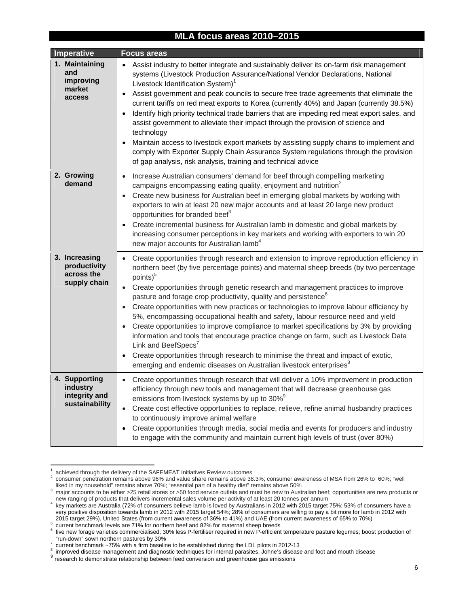### **MLA focus areas 2010–2015**

| Imperative                                                   | <b>Focus areas</b>                                                                                                                                                                                                                                                                                                                                                                                                                                                                                                                                                                                                                                                                                                                                                                                                                                                                                                                                                                  |
|--------------------------------------------------------------|-------------------------------------------------------------------------------------------------------------------------------------------------------------------------------------------------------------------------------------------------------------------------------------------------------------------------------------------------------------------------------------------------------------------------------------------------------------------------------------------------------------------------------------------------------------------------------------------------------------------------------------------------------------------------------------------------------------------------------------------------------------------------------------------------------------------------------------------------------------------------------------------------------------------------------------------------------------------------------------|
| 1. Maintaining<br>and<br>improving<br>market<br>access       | Assist industry to better integrate and sustainably deliver its on-farm risk management<br>$\bullet$<br>systems (Livestock Production Assurance/National Vendor Declarations, National<br>Livestock Identification System) <sup>1</sup><br>Assist government and peak councils to secure free trade agreements that eliminate the<br>$\bullet$<br>current tariffs on red meat exports to Korea (currently 40%) and Japan (currently 38.5%)<br>Identify high priority technical trade barriers that are impeding red meat export sales, and<br>assist government to alleviate their impact through the provision of science and<br>technology<br>Maintain access to livestock export markets by assisting supply chains to implement and<br>comply with Exporter Supply Chain Assurance System regulations through the provision<br>of gap analysis, risk analysis, training and technical advice                                                                                    |
| 2. Growing<br>demand                                         | Increase Australian consumers' demand for beef through compelling marketing<br>$\bullet$<br>campaigns encompassing eating quality, enjoyment and nutrition <sup>2</sup><br>Create new business for Australian beef in emerging global markets by working with<br>$\bullet$<br>exporters to win at least 20 new major accounts and at least 20 large new product<br>opportunities for branded beef <sup>3</sup><br>Create incremental business for Australian lamb in domestic and global markets by<br>increasing consumer perceptions in key markets and working with exporters to win 20<br>new major accounts for Australian lamb <sup>4</sup>                                                                                                                                                                                                                                                                                                                                   |
| 3. Increasing<br>productivity<br>across the<br>supply chain  | Create opportunities through research and extension to improve reproduction efficiency in<br>$\bullet$<br>northern beef (by five percentage points) and maternal sheep breeds (by two percentage<br>points) <sup>5</sup><br>Create opportunities through genetic research and management practices to improve<br>$\bullet$<br>pasture and forage crop productivity, quality and persistence <sup>6</sup><br>Create opportunities with new practices or technologies to improve labour efficiency by<br>5%, encompassing occupational health and safety, labour resource need and yield<br>Create opportunities to improve compliance to market specifications by 3% by providing<br>information and tools that encourage practice change on farm, such as Livestock Data<br>Link and BeefSpecs <sup>7</sup><br>Create opportunities through research to minimise the threat and impact of exotic,<br>emerging and endemic diseases on Australian livestock enterprises <sup>8</sup> |
| 4. Supporting<br>industry<br>integrity and<br>sustainability | Create opportunities through research that will deliver a 10% improvement in production<br>$\bullet$<br>efficiency through new tools and management that will decrease greenhouse gas<br>emissions from livestock systems by up to 30% <sup>9</sup><br>Create cost effective opportunities to replace, relieve, refine animal husbandry practices<br>$\bullet$<br>to continuously improve animal welfare<br>Create opportunities through media, social media and events for producers and industry<br>to engage with the community and maintain current high levels of trust (over 80%)                                                                                                                                                                                                                                                                                                                                                                                             |

<sup>1</sup> <sup>1</sup> achieved through the delivery of the SAFEMEAT Initiatives Review outcomes  $\frac{2}{3}$  consumer penetration remains above 96% and value share remains above 38

l

consumer penetration remains above 96% and value share remains above 38.3%; consumer awareness of MSA from 26% to 60%; "well liked in my household" remains above 70%; "essential part of a healthy diet" remains above 50%

major accounts to be either >25 retail stores or >50 food service outlets and must be new to Australian beef; opportunities are new products or new ranging of products that delivers incremental sales volume per activity of at least 20 tonnes per annum

key markets are Australia (72% of consumers believe lamb is loved by Australians in 2012 with 2015 target 75%; 53% of consumers have a very positive disposition towards lamb in 2012 with 2015 target 54%; 28% of consumers are willing to pay a bit more for lamb in 2012 with 2015 target 29%), United States (from current awareness of 36% to 41%) and UAE (from current awareness of 65% to 70%)

current benchmark levels are 71% for northern beef and 82% for maternal sheep breeds

<sup>&</sup>lt;sup>6</sup> five new forage varieties commercialised; 30% less P-fertiliser required in new P-efficient temperature pasture legumes; boost production of "run-down" sown northern pastures by  $30\%$ 

current benchmark ~75% with a firm baseline to be established during the LDL pilots in 2012-13

 $^8$  improved disease management and diagnostic techniques for internal parasites, Johne's disease and foot and mouth disease

<sup>9</sup> research to demonstrate relationship between feed conversion and greenhouse gas emissions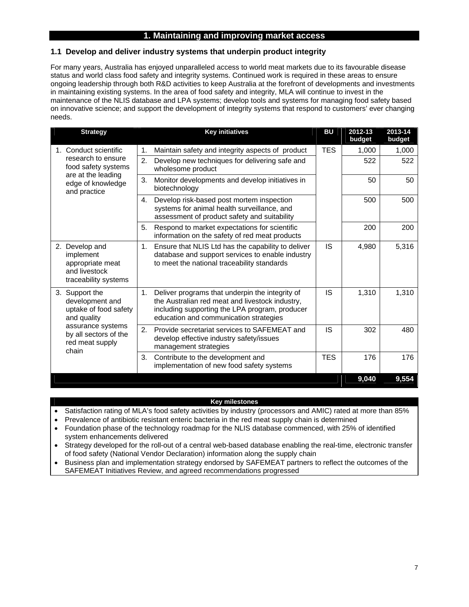### **1. Maintaining and improving market access**

### **1.1 Develop and deliver industry systems that underpin product integrity**

For many years, Australia has enjoyed unparalleled access to world meat markets due to its favourable disease status and world class food safety and integrity systems. Continued work is required in these areas to ensure ongoing leadership through both R&D activities to keep Australia at the forefront of developments and investments in maintaining existing systems. In the area of food safety and integrity, MLA will continue to invest in the maintenance of the NLIS database and LPA systems; develop tools and systems for managing food safety based on innovative science; and support the development of integrity systems that respond to customers' ever changing needs.

| <b>Strategy</b>                                                                             | <b>Key initiatives</b>                                                                                                                                                                               | <b>BU</b>  | 2012-13<br>budget | 2013-14<br>budget |
|---------------------------------------------------------------------------------------------|------------------------------------------------------------------------------------------------------------------------------------------------------------------------------------------------------|------------|-------------------|-------------------|
| 1. Conduct scientific                                                                       | Maintain safety and integrity aspects of product<br>1.                                                                                                                                               | <b>TES</b> | 1,000             | 1,000             |
| research to ensure<br>food safety systems                                                   | 2.<br>Develop new techniques for delivering safe and<br>wholesome product                                                                                                                            |            | 522               | 522               |
| are at the leading<br>edge of knowledge<br>and practice                                     | 3.<br>Monitor developments and develop initiatives in<br>biotechnology                                                                                                                               |            | 50                | 50                |
|                                                                                             | Develop risk-based post mortem inspection<br>4.<br>systems for animal health surveillance, and<br>assessment of product safety and suitability                                                       |            | 500               | 500               |
|                                                                                             | Respond to market expectations for scientific<br>5.<br>information on the safety of red meat products                                                                                                |            | 200               | 200               |
| Develop and<br>2.<br>implement<br>appropriate meat<br>and livestock<br>traceability systems | Ensure that NLIS Ltd has the capability to deliver<br>1.<br>database and support services to enable industry<br>to meet the national traceability standards                                          | <b>IS</b>  | 4,980             | 5,316             |
| 3. Support the<br>development and<br>uptake of food safety<br>and quality                   | Deliver programs that underpin the integrity of<br>1.<br>the Australian red meat and livestock industry,<br>including supporting the LPA program, producer<br>education and communication strategies | IS         | 1,310             | 1,310             |
| assurance systems<br>by all sectors of the<br>red meat supply<br>chain                      | 2.<br>Provide secretariat services to SAFEMEAT and<br>develop effective industry safety/issues<br>management strategies                                                                              | IS         | 302               | 480               |
|                                                                                             | 3.<br>Contribute to the development and<br>implementation of new food safety systems                                                                                                                 | <b>TES</b> | 176               | 176               |
|                                                                                             |                                                                                                                                                                                                      |            | 9,040             | 9.554             |

#### **Key milestones**

- Satisfaction rating of MLA's food safety activities by industry (processors and AMIC) rated at more than 85%
- Prevalence of antibiotic resistant enteric bacteria in the red meat supply chain is determined
- Foundation phase of the technology roadmap for the NLIS database commenced, with 25% of identified system enhancements delivered
- Strategy developed for the roll-out of a central web-based database enabling the real-time, electronic transfer of food safety (National Vendor Declaration) information along the supply chain
- Business plan and implementation strategy endorsed by SAFEMEAT partners to reflect the outcomes of the SAFEMEAT Initiatives Review, and agreed recommendations progressed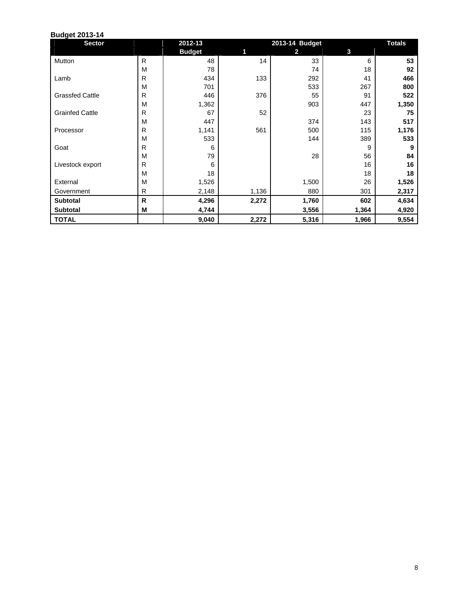| <b>Sector</b>          |              | 2012-13       | 2013-14 Budget |       |       | <b>Totals</b> |
|------------------------|--------------|---------------|----------------|-------|-------|---------------|
|                        |              | <b>Budget</b> | 1              | 2     | 3     |               |
| Mutton                 | $\mathsf{R}$ | 48            | 14             | 33    | 6     | 53            |
|                        | M            | 78            |                | 74    | 18    | 92            |
| Lamb                   | R            | 434           | 133            | 292   | 41    | 466           |
|                        | M            | 701           |                | 533   | 267   | 800           |
| <b>Grassfed Cattle</b> | R            | 446           | 376            | 55    | 91    | 522           |
|                        | M            | 1,362         |                | 903   | 447   | 1,350         |
| <b>Grainfed Cattle</b> | R            | 67            | 52             |       | 23    | 75            |
|                        | M            | 447           |                | 374   | 143   | 517           |
| Processor              | R            | 1,141         | 561            | 500   | 115   | 1,176         |
|                        | M            | 533           |                | 144   | 389   | 533           |
| Goat                   | R            | 6             |                |       | 9     | 9             |
|                        | M            | 79            |                | 28    | 56    | 84            |
| Livestock export       | R            | 6             |                |       | 16    | 16            |
|                        | M            | 18            |                |       | 18    | 18            |
| External               | M            | 1,526         |                | 1,500 | 26    | 1,526         |
| Government             | R            | 2,148         | 1,136          | 880   | 301   | 2,317         |
| <b>Subtotal</b>        | R            | 4,296         | 2,272          | 1,760 | 602   | 4,634         |
| <b>Subtotal</b>        | M            | 4,744         |                | 3,556 | 1,364 | 4,920         |
| <b>TOTAL</b>           |              | 9,040         | 2,272          | 5,316 | 1,966 | 9,554         |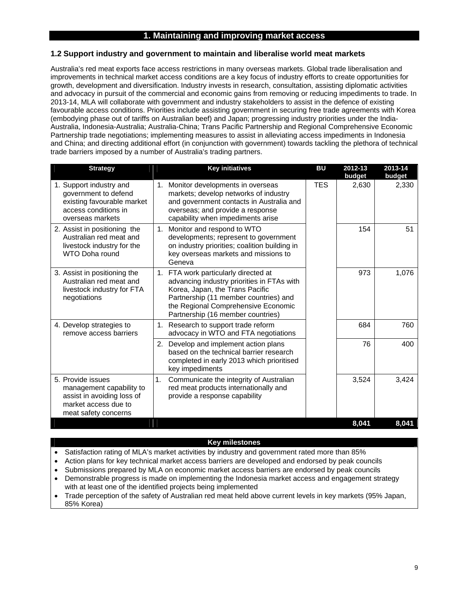### **1. Maintaining and improving market access**

### **1.2 Support industry and government to maintain and liberalise world meat markets**

Australia's red meat exports face access restrictions in many overseas markets. Global trade liberalisation and improvements in technical market access conditions are a key focus of industry efforts to create opportunities for growth, development and diversification. Industry invests in research, consultation, assisting diplomatic activities and advocacy in pursuit of the commercial and economic gains from removing or reducing impediments to trade. In 2013-14, MLA will collaborate with government and industry stakeholders to assist in the defence of existing favourable access conditions. Priorities include assisting government in securing free trade agreements with Korea (embodying phase out of tariffs on Australian beef) and Japan; progressing industry priorities under the India-Australia, Indonesia-Australia; Australia-China; Trans Pacific Partnership and Regional Comprehensive Economic Partnership trade negotiations; implementing measures to assist in alleviating access impediments in Indonesia and China; and directing additional effort (in conjunction with government) towards tackling the plethora of technical trade barriers imposed by a number of Australia's trading partners.

| <b>Strategy</b>                                                                                                             | <b>Key initiatives</b>                                                                                                                                                                                                                     | <b>BU</b>  | 2012-13<br>budget | 2013-14<br>budget |
|-----------------------------------------------------------------------------------------------------------------------------|--------------------------------------------------------------------------------------------------------------------------------------------------------------------------------------------------------------------------------------------|------------|-------------------|-------------------|
| 1. Support industry and<br>government to defend<br>existing favourable market<br>access conditions in<br>overseas markets   | 1. Monitor developments in overseas<br>markets; develop networks of industry<br>and government contacts in Australia and<br>overseas; and provide a response<br>capability when impediments arise                                          | <b>TES</b> | 2.630             | 2,330             |
| 2. Assist in positioning the<br>Australian red meat and<br>livestock industry for the<br>WTO Doha round                     | 1. Monitor and respond to WTO<br>developments; represent to government<br>on industry priorities; coalition building in<br>key overseas markets and missions to<br>Geneva                                                                  |            | 154               | 51                |
| 3. Assist in positioning the<br>Australian red meat and<br>livestock industry for FTA<br>negotiations                       | 1. FTA work particularly directed at<br>advancing industry priorities in FTAs with<br>Korea, Japan, the Trans Pacific<br>Partnership (11 member countries) and<br>the Regional Comprehensive Economic<br>Partnership (16 member countries) |            | 973               | 1,076             |
| 4. Develop strategies to<br>remove access barriers                                                                          | 1. Research to support trade reform<br>advocacy in WTO and FTA negotiations                                                                                                                                                                |            | 684               | 760               |
|                                                                                                                             | Develop and implement action plans<br>2.<br>based on the technical barrier research<br>completed in early 2013 which prioritised<br>key impediments                                                                                        |            | 76                | 400               |
| 5. Provide issues<br>management capability to<br>assist in avoiding loss of<br>market access due to<br>meat safety concerns | 1.<br>Communicate the integrity of Australian<br>red meat products internationally and<br>provide a response capability                                                                                                                    |            | 3,524             | 3,424             |
|                                                                                                                             |                                                                                                                                                                                                                                            |            | 8.041             | 8.041             |

#### **Key milestones**

- Satisfaction rating of MLA's market activities by industry and government rated more than 85%
- Action plans for key technical market access barriers are developed and endorsed by peak councils
- Submissions prepared by MLA on economic market access barriers are endorsed by peak councils
- Demonstrable progress is made on implementing the Indonesia market access and engagement strategy with at least one of the identified projects being implemented
- Trade perception of the safety of Australian red meat held above current levels in key markets (95% Japan, 85% Korea)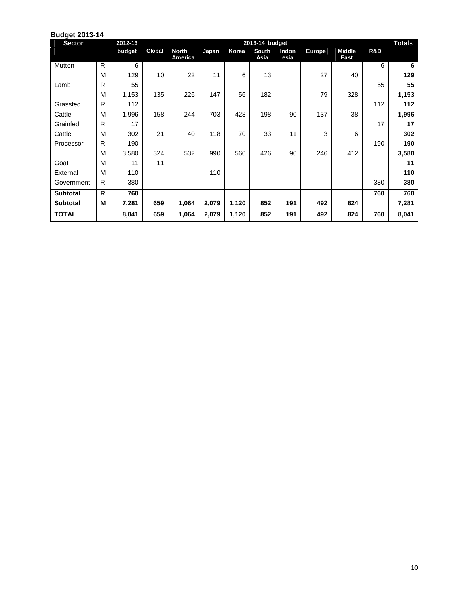| <b>Budget 2013-14</b> |   |         |        |                                |       |       |                |               |               |                       |     |               |
|-----------------------|---|---------|--------|--------------------------------|-------|-------|----------------|---------------|---------------|-----------------------|-----|---------------|
| <b>Sector</b>         |   | 2012-13 |        |                                |       |       | 2013-14 budget |               |               |                       |     | <b>Totals</b> |
|                       |   | budget  | Global | <b>North</b><br><b>America</b> | Japan | Korea | South<br>Asia  | Indon<br>esia | <b>Europe</b> | <b>Middle</b><br>East | R&D |               |
| Mutton                | R | 6       |        |                                |       |       |                |               |               |                       | 6   | 6             |
|                       | M | 129     | 10     | 22                             | 11    | 6     | 13             |               | 27            | 40                    |     | 129           |
| Lamb                  | R | 55      |        |                                |       |       |                |               |               |                       | 55  | 55            |
|                       | M | 1,153   | 135    | 226                            | 147   | 56    | 182            |               | 79            | 328                   |     | 1,153         |
| Grassfed              | R | 112     |        |                                |       |       |                |               |               |                       | 112 | 112           |
| Cattle                | M | 1,996   | 158    | 244                            | 703   | 428   | 198            | 90            | 137           | 38                    |     | 1,996         |
| Grainfed              | R | 17      |        |                                |       |       |                |               |               |                       | 17  | 17            |
| Cattle                | M | 302     | 21     | 40                             | 118   | 70    | 33             | 11            | 3             | 6                     |     | 302           |
| Processor             | R | 190     |        |                                |       |       |                |               |               |                       | 190 | 190           |
|                       | M | 3,580   | 324    | 532                            | 990   | 560   | 426            | 90            | 246           | 412                   |     | 3,580         |
| Goat                  | M | 11      | 11     |                                |       |       |                |               |               |                       |     | 11            |
| External              | M | 110     |        |                                | 110   |       |                |               |               |                       |     | 110           |
| Government            | R | 380     |        |                                |       |       |                |               |               |                       | 380 | 380           |
| <b>Subtotal</b>       | R | 760     |        |                                |       |       |                |               |               |                       | 760 | 760           |
| <b>Subtotal</b>       | M | 7,281   | 659    | 1,064                          | 2,079 | 1,120 | 852            | 191           | 492           | 824                   |     | 7,281         |
| <b>TOTAL</b>          |   | 8,041   | 659    | 1,064                          | 2,079 | 1,120 | 852            | 191           | 492           | 824                   | 760 | 8,041         |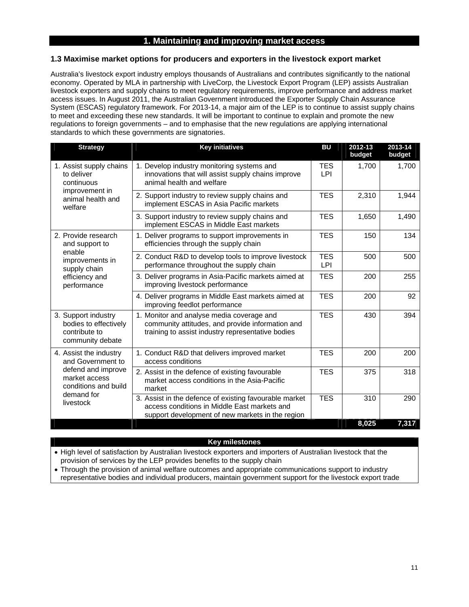### **1. Maintaining and improving market access**

### **1.3 Maximise market options for producers and exporters in the livestock export market**

Australia's livestock export industry employs thousands of Australians and contributes significantly to the national economy. Operated by MLA in partnership with LiveCorp, the Livestock Export Program (LEP) assists Australian livestock exporters and supply chains to meet regulatory requirements, improve performance and address market access issues. In August 2011, the Australian Government introduced the Exporter Supply Chain Assurance System (ESCAS) regulatory framework. For 2013-14, a major aim of the LEP is to continue to assist supply chains to meet and exceeding these new standards. It will be important to continue to explain and promote the new regulations to foreign governments – and to emphasise that the new regulations are applying international standards to which these governments are signatories.

| <b>Strategy</b>                                                                   | <b>Key initiatives</b>                                                                                                                                     | <b>BU</b>                | 2012-13<br>budget | 2013-14<br>budget |
|-----------------------------------------------------------------------------------|------------------------------------------------------------------------------------------------------------------------------------------------------------|--------------------------|-------------------|-------------------|
| 1. Assist supply chains<br>to deliver<br>continuous                               | 1. Develop industry monitoring systems and<br>innovations that will assist supply chains improve<br>animal health and welfare                              | TES<br>LPI               | 1,700             | 1,700             |
| improvement in<br>animal health and<br>welfare                                    | 2. Support industry to review supply chains and<br>implement ESCAS in Asia Pacific markets                                                                 | <b>TES</b>               | 2,310             | 1,944             |
|                                                                                   | 3. Support industry to review supply chains and<br>implement ESCAS in Middle East markets                                                                  | <b>TES</b>               | 1,650             | 1,490             |
| 2. Provide research<br>and support to                                             | 1. Deliver programs to support improvements in<br>efficiencies through the supply chain                                                                    | <b>TES</b>               | 150               | 134               |
| enable<br>improvements in<br>supply chain                                         | 2. Conduct R&D to develop tools to improve livestock<br>performance throughout the supply chain                                                            | <b>TES</b><br><b>LPI</b> | 500               | 500               |
| efficiency and<br>performance                                                     | 3. Deliver programs in Asia-Pacific markets aimed at<br>improving livestock performance                                                                    | <b>TES</b>               | 200               | 255               |
|                                                                                   | 4. Deliver programs in Middle East markets aimed at<br>improving feedlot performance                                                                       | <b>TES</b>               | 200               | 92                |
| 3. Support industry<br>bodies to effectively<br>contribute to<br>community debate | 1. Monitor and analyse media coverage and<br>community attitudes, and provide information and<br>training to assist industry representative bodies         | <b>TES</b>               | 430               | 394               |
| 4. Assist the industry<br>and Government to                                       | 1. Conduct R&D that delivers improved market<br>access conditions                                                                                          | <b>TES</b>               | 200               | 200               |
| defend and improve<br>market access<br>conditions and build                       | 2. Assist in the defence of existing favourable<br>market access conditions in the Asia-Pacific<br>market                                                  | <b>TES</b>               | 375               | 318               |
| demand for<br>livestock                                                           | 3. Assist in the defence of existing favourable market<br>access conditions in Middle East markets and<br>support development of new markets in the region | <b>TES</b>               | 310               | 290               |
|                                                                                   |                                                                                                                                                            |                          | 8,025             | 7,317             |

#### **Key milestones**

 High level of satisfaction by Australian livestock exporters and importers of Australian livestock that the provision of services by the LEP provides benefits to the supply chain

 Through the provision of animal welfare outcomes and appropriate communications support to industry representative bodies and individual producers, maintain government support for the livestock export trade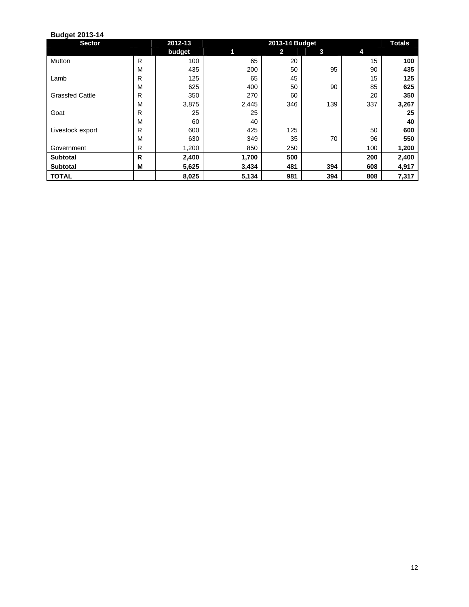| <b>Sector</b>          |              | 2012-13 |       | 2013-14 Budget |     |     | <b>Totals</b> |
|------------------------|--------------|---------|-------|----------------|-----|-----|---------------|
|                        |              | budget  | 1     | 2              | 3   | 4   |               |
| Mutton                 | R            | 100     | 65    | 20             |     | 15  | 100           |
|                        | M            | 435     | 200   | 50             | 95  | 90  | 435           |
| Lamb                   | R            | 125     | 65    | 45             |     | 15  | 125           |
|                        | M            | 625     | 400   | 50             | 90  | 85  | 625           |
| <b>Grassfed Cattle</b> | R            | 350     | 270   | 60             |     | 20  | 350           |
|                        | M            | 3,875   | 2,445 | 346            | 139 | 337 | 3,267         |
| Goat                   | R            | 25      | 25    |                |     |     | 25            |
|                        | M            | 60      | 40    |                |     |     | 40            |
| Livestock export       | R            | 600     | 425   | 125            |     | 50  | 600           |
|                        | M            | 630     | 349   | 35             | 70  | 96  | 550           |
| Government             | R            | 1,200   | 850   | 250            |     | 100 | 1,200         |
| <b>Subtotal</b>        | $\mathsf{R}$ | 2,400   | 1,700 | 500            |     | 200 | 2,400         |
| <b>Subtotal</b>        | M            | 5,625   | 3,434 | 481            | 394 | 608 | 4,917         |
| <b>TOTAL</b>           |              | 8,025   | 5,134 | 981            | 394 | 808 | 7,317         |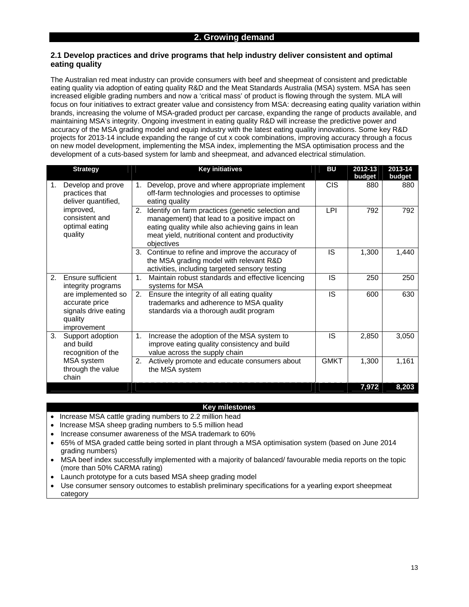### **2.1 Develop practices and drive programs that help industry deliver consistent and optimal eating quality**

The Australian red meat industry can provide consumers with beef and sheepmeat of consistent and predictable eating quality via adoption of eating quality R&D and the Meat Standards Australia (MSA) system. MSA has seen increased eligible grading numbers and now a 'critical mass' of product is flowing through the system. MLA will focus on four initiatives to extract greater value and consistency from MSA: decreasing eating quality variation within brands, increasing the volume of MSA-graded product per carcase, expanding the range of products available, and maintaining MSA's integrity. Ongoing investment in eating quality R&D will increase the predictive power and accuracy of the MSA grading model and equip industry with the latest eating quality innovations. Some key R&D projects for 2013-14 include expanding the range of cut x cook combinations, improving accuracy through a focus on new model development, implementing the MSA index, implementing the MSA optimisation process and the development of a cuts-based system for lamb and sheepmeat, and advanced electrical stimulation.

|    | <b>Strategy</b>                                                                                                        | <b>Key initiatives</b>                                                                                                                                                                                                          | BU          | 2012-13<br>budget | 2013-14<br>budget |
|----|------------------------------------------------------------------------------------------------------------------------|---------------------------------------------------------------------------------------------------------------------------------------------------------------------------------------------------------------------------------|-------------|-------------------|-------------------|
| 1. | Develop and prove<br>practices that<br>deliver quantified,<br>improved,<br>consistent and<br>optimal eating<br>quality | Develop, prove and where appropriate implement<br>1.<br>off-farm technologies and processes to optimise<br>eating quality                                                                                                       | <b>CIS</b>  | 880               | 880               |
|    |                                                                                                                        | Identify on farm practices (genetic selection and<br>2.<br>management) that lead to a positive impact on<br>eating quality while also achieving gains in lean<br>meat yield, nutritional content and productivity<br>objectives | LPI         | 792               | 792               |
|    |                                                                                                                        | 3. Continue to refine and improve the accuracy of<br>the MSA grading model with relevant R&D<br>activities, including targeted sensory testing                                                                                  | IS          | 1,300             | 1,440             |
| 2. | Ensure sufficient<br>integrity programs                                                                                | Maintain robust standards and effective licencing<br>1.<br>systems for MSA                                                                                                                                                      | IS          | 250               | 250               |
|    | are implemented so<br>accurate price<br>signals drive eating<br>quality<br>improvement                                 | Ensure the integrity of all eating quality<br>2.<br>trademarks and adherence to MSA quality<br>standards via a thorough audit program                                                                                           | IS          | 600               | 630               |
| 3. | Support adoption<br>and build<br>recognition of the                                                                    | Increase the adoption of the MSA system to<br>1.<br>improve eating quality consistency and build<br>value across the supply chain                                                                                               | IS          | 2,850             | 3,050             |
|    | MSA system<br>through the value<br>chain                                                                               | 2.<br>Actively promote and educate consumers about<br>the MSA system                                                                                                                                                            | <b>GMKT</b> | 1,300             | 1,161             |
|    |                                                                                                                        |                                                                                                                                                                                                                                 |             | 7,972             | 8,203             |

#### **Key milestones**

- Increase MSA cattle grading numbers to 2.2 million head
- Increase MSA sheep grading numbers to 5.5 million head
- Increase consumer awareness of the MSA trademark to 60%
- 65% of MSA graded cattle being sorted in plant through a MSA optimisation system (based on June 2014 grading numbers)
- MSA beef index successfully implemented with a majority of balanced/ favourable media reports on the topic (more than 50% CARMA rating)
- Launch prototype for a cuts based MSA sheep grading model
- Use consumer sensory outcomes to establish preliminary specifications for a yearling export sheepmeat category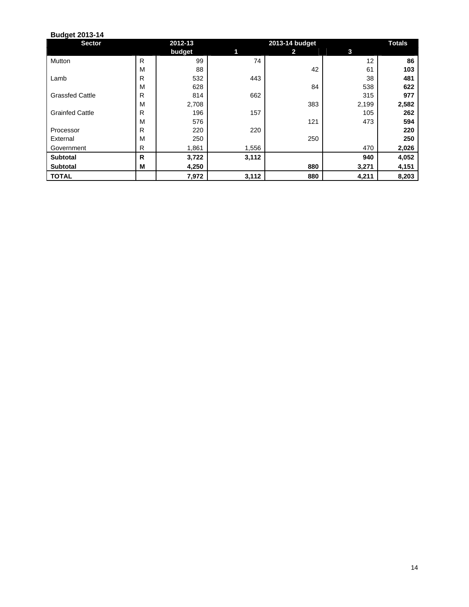| <b>Sector</b>          |   | 2012-13 |       | 2013-14 budget |       | <b>Totals</b> |
|------------------------|---|---------|-------|----------------|-------|---------------|
|                        |   | budget  | 1     | 2              | 3     |               |
| Mutton                 | R | 99      | 74    |                | 12    | 86            |
|                        | M | 88      |       | 42             | 61    | 103           |
| Lamb                   | R | 532     | 443   |                | 38    | 481           |
|                        | M | 628     |       | 84             | 538   | 622           |
| <b>Grassfed Cattle</b> | R | 814     | 662   |                | 315   | 977           |
|                        | M | 2,708   |       | 383            | 2,199 | 2,582         |
| <b>Grainfed Cattle</b> | R | 196     | 157   |                | 105   | 262           |
|                        | M | 576     |       | 121            | 473   | 594           |
| Processor              | R | 220     | 220   |                |       | 220           |
| External               | M | 250     |       | 250            |       | 250           |
| Government             | R | 1,861   | 1,556 |                | 470   | 2,026         |
| <b>Subtotal</b>        | R | 3,722   | 3,112 |                | 940   | 4,052         |
| <b>Subtotal</b>        | M | 4,250   |       | 880            | 3,271 | 4,151         |
| <b>TOTAL</b>           |   | 7,972   | 3,112 | 880            | 4,211 | 8,203         |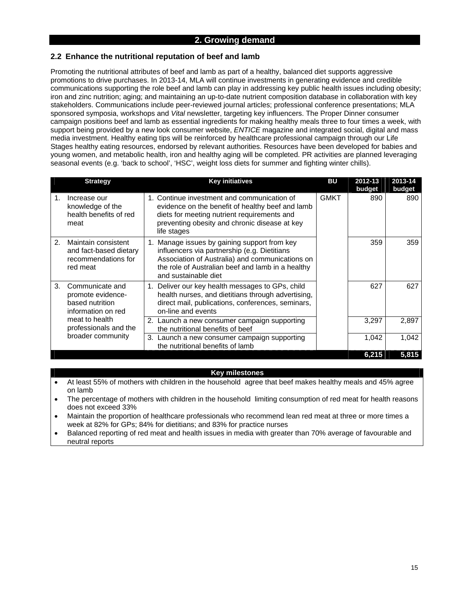### **2.2 Enhance the nutritional reputation of beef and lamb**

Promoting the nutritional attributes of beef and lamb as part of a healthy, balanced diet supports aggressive promotions to drive purchases. In 2013-14, MLA will continue investments in generating evidence and credible communications supporting the role beef and lamb can play in addressing key public health issues including obesity; iron and zinc nutrition; aging; and maintaining an up-to-date nutrient composition database in collaboration with key stakeholders. Communications include peer-reviewed journal articles; professional conference presentations; MLA sponsored symposia, workshops and *Vital* newsletter, targeting key influencers. The Proper Dinner consumer campaign positions beef and lamb as essential ingredients for making healthy meals three to four times a week, with support being provided by a new look consumer website, *ENTICE* magazine and integrated social, digital and mass media investment. Healthy eating tips will be reinforced by healthcare professional campaign through our Life Stages healthy eating resources, endorsed by relevant authorities. Resources have been developed for babies and young women, and metabolic health, iron and healthy aging will be completed. PR activities are planned leveraging seasonal events (e.g. 'back to school', 'HSC', weight loss diets for summer and fighting winter chills).

|    | <b>Strategy</b>                                                                  | <b>Key initiatives</b>                                                                                                                                                                                                          | <b>BU</b>   | 2012-13<br>budget | 2013-14<br>budget |
|----|----------------------------------------------------------------------------------|---------------------------------------------------------------------------------------------------------------------------------------------------------------------------------------------------------------------------------|-------------|-------------------|-------------------|
| 1. | Increase our<br>knowledge of the<br>health benefits of red<br>meat               | 1. Continue investment and communication of<br>evidence on the benefit of healthy beef and lamb<br>diets for meeting nutrient requirements and<br>preventing obesity and chronic disease at key<br>life stages                  | <b>GMKT</b> | 890               | 890               |
| 2. | Maintain consistent<br>and fact-based dietary<br>recommendations for<br>red meat | Manage issues by gaining support from key<br>1.<br>influencers via partnership (e.g. Dietitians<br>Association of Australia) and communications on<br>the role of Australian beef and lamb in a healthy<br>and sustainable diet |             | 359               | 359               |
| 3. | Communicate and<br>promote evidence-<br>based nutrition<br>information on red    | Deliver our key health messages to GPs, child<br>1.<br>health nurses, and dietitians through advertising,<br>direct mail, publications, conferences, seminars,<br>on-line and events                                            |             | 627               | 627               |
|    | meat to health<br>professionals and the                                          | 2. Launch a new consumer campaign supporting<br>the nutritional benefits of beef                                                                                                                                                |             | 3,297             | 2,897             |
|    | broader community                                                                | 3. Launch a new consumer campaign supporting<br>the nutritional benefits of lamb                                                                                                                                                |             | 1,042             | 1.042             |
|    |                                                                                  |                                                                                                                                                                                                                                 |             | 6,215             | 5,815             |

### **Key milestones**

- At least 55% of mothers with children in the household agree that beef makes healthy meals and 45% agree on lamb
- The percentage of mothers with children in the household limiting consumption of red meat for health reasons does not exceed 33%
- Maintain the proportion of healthcare professionals who recommend lean red meat at three or more times a week at 82% for GPs; 84% for dietitians; and 83% for practice nurses
- Balanced reporting of red meat and health issues in media with greater than 70% average of favourable and neutral reports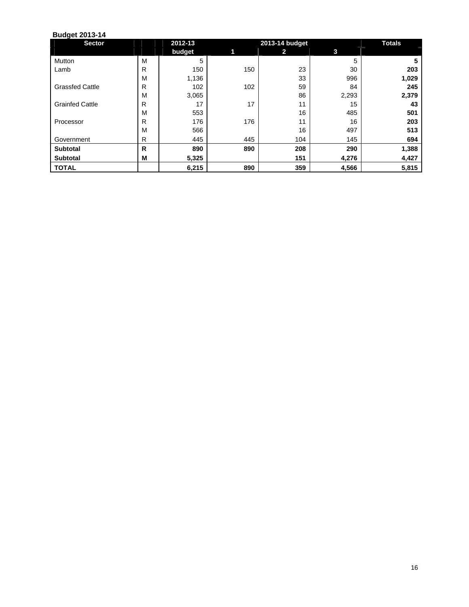| <b>Sector</b>          |              | 2012-13 |     | 2013-14 budget |       | <b>Totals</b> |
|------------------------|--------------|---------|-----|----------------|-------|---------------|
|                        |              | budget  | 1   | 2              | 3     |               |
| Mutton                 | M            | 5       |     |                | 5     | 5             |
| Lamb                   | R            | 150     | 150 | 23             | 30    | 203           |
|                        | М            | 1,136   |     | 33             | 996   | 1,029         |
| <b>Grassfed Cattle</b> | $\mathsf{R}$ | 102     | 102 | 59             | 84    | 245           |
|                        | М            | 3,065   |     | 86             | 2,293 | 2,379         |
| <b>Grainfed Cattle</b> | R            | 17      | 17  | 11             | 15    | 43            |
|                        | M            | 553     |     | 16             | 485   | 501           |
| Processor              | R            | 176     | 176 | 11             | 16    | 203           |
|                        | M            | 566     |     | 16             | 497   | 513           |
| Government             | $\mathsf{R}$ | 445     | 445 | 104            | 145   | 694           |
| <b>Subtotal</b>        | R            | 890     | 890 | 208            | 290   | 1,388         |
| <b>Subtotal</b>        | M            | 5,325   |     | 151            | 4,276 | 4,427         |
| <b>TOTAL</b>           |              | 6,215   | 890 | 359            | 4,566 | 5,815         |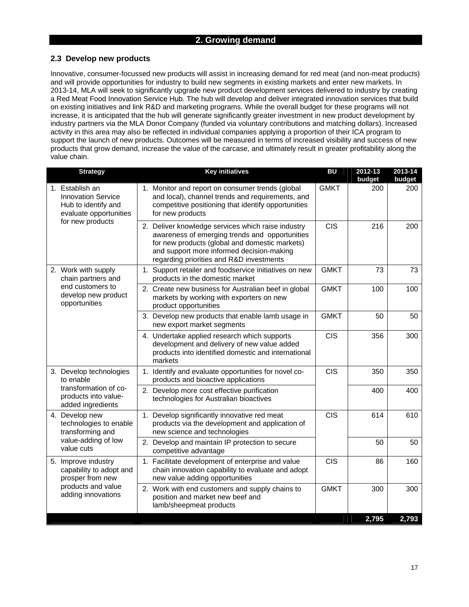### **2. Growing demand**

### **2.3 Develop new products**

Innovative, consumer-focussed new products will assist in increasing demand for red meat (and non-meat products) and will provide opportunities for industry to build new segments in existing markets and enter new markets. In 2013-14, MLA will seek to significantly upgrade new product development services delivered to industry by creating a Red Meat Food Innovation Service Hub*.* The hub will develop and deliver integrated innovation services that build on existing initiatives and link R&D and marketing programs. While the overall budget for these programs will not increase, it is anticipated that the hub will generate significantly greater investment in new product development by industry partners via the MLA Donor Company (funded via voluntary contributions and matching dollars). Increased activity in this area may also be reflected in individual companies applying a proportion of their ICA program to support the launch of new products. Outcomes will be measured in terms of increased visibility and success of new products that grow demand, increase the value of the carcase, and ultimately result in greater profitability along the value chain.

| <b>Strategy</b>                                                                               | <b>Key initiatives</b>                                                                                                                                                                                                                          | <b>BU</b>   | 2012-13<br>budget | 2013-14<br>budget |
|-----------------------------------------------------------------------------------------------|-------------------------------------------------------------------------------------------------------------------------------------------------------------------------------------------------------------------------------------------------|-------------|-------------------|-------------------|
| 1. Establish an<br><b>Innovation Service</b><br>Hub to identify and<br>evaluate opportunities | 1. Monitor and report on consumer trends (global<br>and local), channel trends and requirements, and<br>competitive positioning that identify opportunities<br>for new products                                                                 | <b>GMKT</b> | 200               | 200               |
| for new products                                                                              | 2. Deliver knowledge services which raise industry<br>awareness of emerging trends and opportunities<br>for new products (global and domestic markets)<br>and support more informed decision-making<br>regarding priorities and R&D investments | <b>CIS</b>  | 216               | 200               |
| 2. Work with supply<br>chain partners and                                                     | 1. Support retailer and foodservice initiatives on new<br>products in the domestic market                                                                                                                                                       | <b>GMKT</b> | 73                | 73                |
| end customers to<br>develop new product<br>opportunities                                      | 2. Create new business for Australian beef in global<br>markets by working with exporters on new<br>product opportunities                                                                                                                       | <b>GMKT</b> | 100               | 100               |
|                                                                                               | 3. Develop new products that enable lamb usage in<br>new export market segments                                                                                                                                                                 | <b>GMKT</b> | 50                | 50                |
|                                                                                               | 4. Undertake applied research which supports<br>development and delivery of new value added<br>products into identified domestic and international<br>markets                                                                                   | <b>CIS</b>  | 356               | 300               |
| 3. Develop technologies<br>to enable                                                          | 1. Identify and evaluate opportunities for novel co-<br>products and bioactive applications                                                                                                                                                     | <b>CIS</b>  | 350               | 350               |
| transformation of co-<br>products into value-<br>added ingredients                            | 2. Develop more cost effective purification<br>technologies for Australian bioactives                                                                                                                                                           |             | 400               | 400               |
| 4. Develop new<br>technologies to enable<br>transforming and                                  | 1. Develop significantly innovative red meat<br>products via the development and application of<br>new science and technologies                                                                                                                 | <b>CIS</b>  | 614               | 610               |
| value-adding of low<br>value cuts                                                             | 2. Develop and maintain IP protection to secure<br>competitive advantage                                                                                                                                                                        |             | 50                | 50                |
| 5. Improve industry<br>capability to adopt and<br>prosper from new                            | 1. Facilitate development of enterprise and value<br>chain innovation capability to evaluate and adopt<br>new value adding opportunities                                                                                                        | <b>CIS</b>  | 86                | 160               |
| products and value<br>adding innovations                                                      | 2. Work with end customers and supply chains to<br>position and market new beef and<br>lamb/sheepmeat products                                                                                                                                  | <b>GMKT</b> | 300               | 300               |
|                                                                                               |                                                                                                                                                                                                                                                 |             | 2,795             | 2,793             |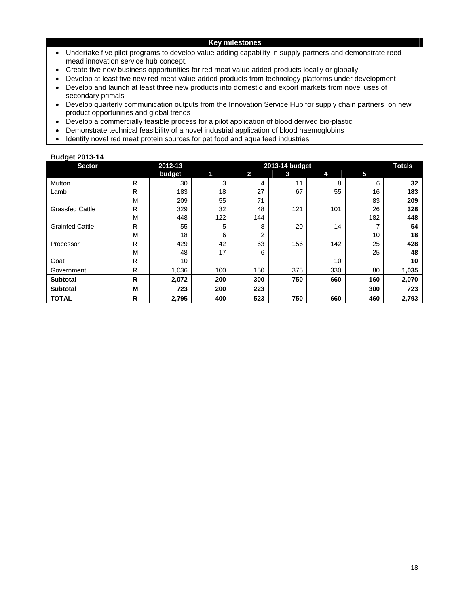#### **Key milestones**

- Undertake five pilot programs to develop value adding capability in supply partners and demonstrate reed mead innovation service hub concept.
- Create five new business opportunities for red meat value added products locally or globally
- Develop at least five new red meat value added products from technology platforms under development
- Develop and launch at least three new products into domestic and export markets from novel uses of secondary primals
- Develop quarterly communication outputs from the Innovation Service Hub for supply chain partners on new product opportunities and global trends
- Develop a commercially feasible process for a pilot application of blood derived bio-plastic
- Demonstrate technical feasibility of a novel industrial application of blood haemoglobins
- Identify novel red meat protein sources for pet food and aqua feed industries

| <b>Sector</b>          |   | 2012-13 |     |              | 2013-14 budget |     |     | <b>Totals</b> |
|------------------------|---|---------|-----|--------------|----------------|-----|-----|---------------|
|                        |   | budget  | 1   | $\mathbf{2}$ | 3              | 4   | 5   |               |
| Mutton                 | R | 30      | 3   | 4            | 11             | 8   | 6   | 32            |
| Lamb                   | R | 183     | 18  | 27           | 67             | 55  | 16  | 183           |
|                        | M | 209     | 55  | 71           |                |     | 83  | 209           |
| <b>Grassfed Cattle</b> | R | 329     | 32  | 48           | 121            | 101 | 26  | 328           |
|                        | M | 448     | 122 | 144          |                |     | 182 | 448           |
| <b>Grainfed Cattle</b> | R | 55      | 5   | 8            | 20             | 14  |     | 54            |
|                        | M | 18      | 6   | 2            |                |     | 10  | 18            |
| Processor              | R | 429     | 42  | 63           | 156            | 142 | 25  | 428           |
|                        | М | 48      | 17  | 6            |                |     | 25  | 48            |
| Goat                   | R | 10      |     |              |                | 10  |     | 10            |
| Government             | R | 1,036   | 100 | 150          | 375            | 330 | 80  | 1,035         |
| <b>Subtotal</b>        | R | 2,072   | 200 | 300          | 750            | 660 | 160 | 2,070         |
| <b>Subtotal</b>        | M | 723     | 200 | 223          |                |     | 300 | 723           |
| <b>TOTAL</b>           | R | 2,795   | 400 | 523          | 750            | 660 | 460 | 2,793         |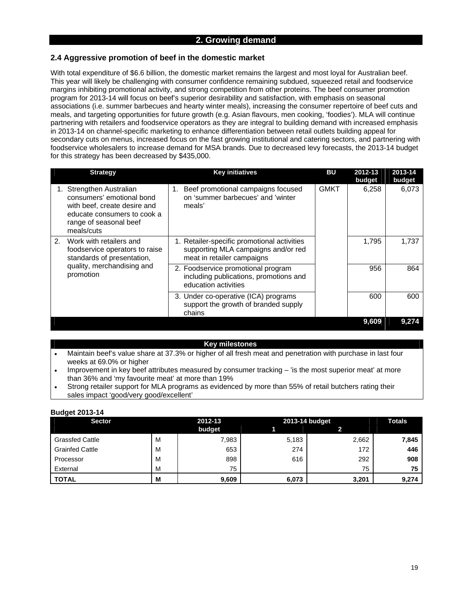### **2. Growing demand**

### **2.4 Aggressive promotion of beef in the domestic market**

With total expenditure of \$6.6 billion, the domestic market remains the largest and most loyal for Australian beef. This year will likely be challenging with consumer confidence remaining subdued, squeezed retail and foodservice margins inhibiting promotional activity, and strong competition from other proteins. The beef consumer promotion program for 2013-14 will focus on beef's superior desirability and satisfaction, with emphasis on seasonal associations (i.e. summer barbecues and hearty winter meals), increasing the consumer repertoire of beef cuts and meals, and targeting opportunities for future growth (e.g. Asian flavours, men cooking, 'foodies'). MLA will continue partnering with retailers and foodservice operators as they are integral to building demand with increased emphasis in 2013-14 on channel-specific marketing to enhance differentiation between retail outlets building appeal for secondary cuts on menus, increased focus on the fast growing institutional and catering sectors, and partnering with foodservice wholesalers to increase demand for MSA brands. Due to decreased levy forecasts, the 2013-14 budget for this strategy has been decreased by \$435,000.

| <b>Strategy</b>                                                                                                                                              | <b>Key initiatives</b>                                                                                           | BU          | 2012-13<br>budget | 2013-14<br>budget |
|--------------------------------------------------------------------------------------------------------------------------------------------------------------|------------------------------------------------------------------------------------------------------------------|-------------|-------------------|-------------------|
| 1. Strengthen Australian<br>consumers' emotional bond<br>with beef, create desire and<br>educate consumers to cook a<br>range of seasonal beef<br>meals/cuts | Beef promotional campaigns focused<br>1.<br>on 'summer barbecues' and 'winter<br>meals'                          | <b>GMKT</b> | 6.258             | 6,073             |
| Work with retailers and<br>2.<br>foodservice operators to raise<br>standards of presentation,                                                                | 1. Retailer-specific promotional activities<br>supporting MLA campaigns and/or red<br>meat in retailer campaigns |             | 1.795             | 1,737             |
| quality, merchandising and<br>promotion                                                                                                                      | 2. Foodservice promotional program<br>including publications, promotions and<br>education activities             |             | 956               | 864               |
|                                                                                                                                                              | 3. Under co-operative (ICA) programs<br>support the growth of branded supply<br>chains                           |             | 600               | 600               |
|                                                                                                                                                              |                                                                                                                  |             | 9,609             | 9.274             |

#### **Key milestones**

- Maintain beef's value share at 37.3% or higher of all fresh meat and penetration with purchase in last four weeks at 69.0% or higher
- Improvement in key beef attributes measured by consumer tracking 'is the most superior meat' at more than 36% and 'my favourite meat' at more than 19%
- Strong retailer support for MLA programs as evidenced by more than 55% of retail butchers rating their sales impact 'good/very good/excellent'

| <b>Sector</b>          |   | 2012-13 | 2013-14 budget | Totals |       |
|------------------------|---|---------|----------------|--------|-------|
|                        |   | budget  |                |        |       |
| <b>Grassfed Cattle</b> | M | 7,983   | 5,183          | 2,662  | 7,845 |
| <b>Grainfed Cattle</b> | M | 653     | 274            | 172    | 446   |
| Processor              | M | 898     | 616            | 292    | 908   |
| External               | M | 75      |                | 75     | 75    |
| <b>TOTAL</b>           | M | 9,609   | 6,073          | 3,201  | 9,274 |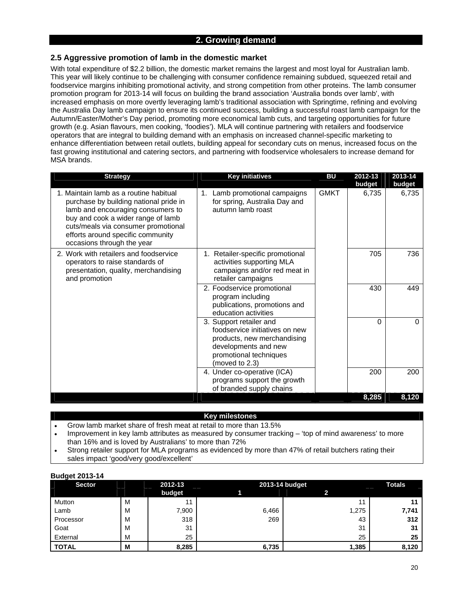### **2. Growing demand**

### **2.5 Aggressive promotion of lamb in the domestic market**

With total expenditure of \$2.2 billion, the domestic market remains the largest and most loyal for Australian lamb. This year will likely continue to be challenging with consumer confidence remaining subdued, squeezed retail and foodservice margins inhibiting promotional activity, and strong competition from other proteins. The lamb consumer promotion program for 2013-14 will focus on building the brand association 'Australia bonds over lamb', with increased emphasis on more overtly leveraging lamb's traditional association with Springtime, refining and evolving the Australia Day lamb campaign to ensure its continued success, building a successful roast lamb campaign for the Autumn/Easter/Mother's Day period, promoting more economical lamb cuts, and targeting opportunities for future growth (e.g. Asian flavours, men cooking, 'foodies'). MLA will continue partnering with retailers and foodservice operators that are integral to building demand with an emphasis on increased channel-specific marketing to enhance differentiation between retail outlets, building appeal for secondary cuts on menus, increased focus on the fast growing institutional and catering sectors, and partnering with foodservice wholesalers to increase demand for MSA brands.

| <b>Strategy</b>                                                                                                                                                                                                                                                       | <b>Key initiatives</b>                                                                                                                                       | BU          | 2012-13<br>budget | 2013-14<br>budget |
|-----------------------------------------------------------------------------------------------------------------------------------------------------------------------------------------------------------------------------------------------------------------------|--------------------------------------------------------------------------------------------------------------------------------------------------------------|-------------|-------------------|-------------------|
| 1. Maintain lamb as a routine habitual<br>purchase by building national pride in<br>lamb and encouraging consumers to<br>buy and cook a wider range of lamb<br>cuts/meals via consumer promotional<br>efforts around specific community<br>occasions through the year | 1. Lamb promotional campaigns<br>for spring, Australia Day and<br>autumn lamb roast                                                                          | <b>GMKT</b> | 6,735             | 6,735             |
| 2. Work with retailers and foodservice<br>operators to raise standards of<br>presentation, quality, merchandising<br>and promotion                                                                                                                                    | 1. Retailer-specific promotional<br>activities supporting MLA<br>campaigns and/or red meat in<br>retailer campaigns                                          |             | 705               | 736               |
|                                                                                                                                                                                                                                                                       | 2. Foodservice promotional<br>program including<br>publications, promotions and<br>education activities                                                      |             | 430               | 449               |
|                                                                                                                                                                                                                                                                       | 3. Support retailer and<br>foodservice initiatives on new<br>products, new merchandising<br>developments and new<br>promotional techniques<br>(moved to 2.3) |             | $\Omega$          | $\Omega$          |
|                                                                                                                                                                                                                                                                       | 4. Under co-operative (ICA)<br>programs support the growth<br>of branded supply chains                                                                       |             | 200               | 200               |
|                                                                                                                                                                                                                                                                       |                                                                                                                                                              |             | 8,285             | 8,120             |

#### **Key milestones**

- Grow lamb market share of fresh meat at retail to more than 13.5%
- Improvement in key lamb attributes as measured by consumer tracking 'top of mind awareness' to more than 16% and is loved by Australians' to more than 72%
- Strong retailer support for MLA programs as evidenced by more than 47% of retail butchers rating their sales impact 'good/very good/excellent'

| <b>Sector</b> |   | 2012-13 |       | 2013-14 budget |       |  |
|---------------|---|---------|-------|----------------|-------|--|
|               |   | budget  |       | ົ              |       |  |
| Mutton        | M |         |       | 11             | 44    |  |
| Lamb          | M | 7,900   | 6,466 | 1,275          | 7,741 |  |
| Processor     | М | 318     | 269   | 43             | 312   |  |
| Goat          | M | 31      |       | 31             | 31    |  |
| External      | M | 25      |       | 25             | 25    |  |
| <b>TOTAL</b>  | M | 8,285   | 6,735 | 1,385          | 8,120 |  |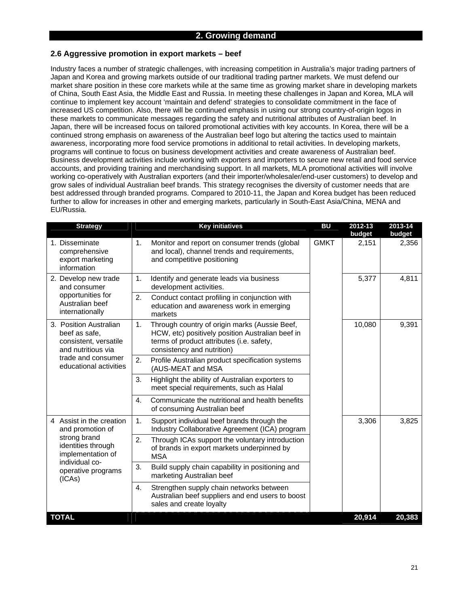#### **2.6 Aggressive promotion in export markets – beef**

Industry faces a number of strategic challenges, with increasing competition in Australia's major trading partners of Japan and Korea and growing markets outside of our traditional trading partner markets. We must defend our market share position in these core markets while at the same time as growing market share in developing markets of China, South East Asia, the Middle East and Russia. In meeting these challenges in Japan and Korea, MLA will continue to implement key account 'maintain and defend' strategies to consolidate commitment in the face of increased US competition. Also, there will be continued emphasis in using our strong country-of-origin logos in these markets to communicate messages regarding the safety and nutritional attributes of Australian beef. In Japan, there will be increased focus on tailored promotional activities with key accounts. In Korea, there will be a continued strong emphasis on awareness of the Australian beef logo but altering the tactics used to maintain awareness, incorporating more food service promotions in additional to retail activities. In developing markets, programs will continue to focus on business development activities and create awareness of Australian beef. Business development activities include working with exporters and importers to secure new retail and food service accounts, and providing training and merchandising support. In all markets, MLA promotional activities will involve working co-operatively with Australian exporters (and their importer/wholesaler/end-user customers) to develop and grow sales of individual Australian beef brands. This strategy recognises the diversity of customer needs that are best addressed through branded programs. Compared to 2010-11, the Japan and Korea budget has been reduced further to allow for increases in other and emerging markets, particularly in South-East Asia/China, MENA and EU/Russia.

| <b>Strategy</b>                                                                                           | <b>Key initiatives</b>                                                                                                                                                             | <b>BU</b>   | 2012-13<br>budget | 2013-14<br>budget |
|-----------------------------------------------------------------------------------------------------------|------------------------------------------------------------------------------------------------------------------------------------------------------------------------------------|-------------|-------------------|-------------------|
| 1. Disseminate<br>comprehensive<br>export marketing<br>information                                        | 1.<br>Monitor and report on consumer trends (global<br>and local), channel trends and requirements,<br>and competitive positioning                                                 | <b>GMKT</b> | 2,151             | 2,356             |
| 2. Develop new trade<br>and consumer                                                                      | 1.<br>Identify and generate leads via business<br>development activities.                                                                                                          |             | 5,377             | 4,811             |
| opportunities for<br>Australian beef<br>internationally                                                   | 2.<br>Conduct contact profiling in conjunction with<br>education and awareness work in emerging<br>markets                                                                         |             |                   |                   |
| 3. Position Australian<br>beef as safe,<br>consistent, versatile<br>and nutritious via                    | Through country of origin marks (Aussie Beef,<br>1.<br>HCW, etc) positively position Australian beef in<br>terms of product attributes (i.e. safety,<br>consistency and nutrition) |             | 10,080            | 9,391             |
| trade and consumer<br>educational activities                                                              | 2.<br>Profile Australian product specification systems<br>(AUS-MEAT and MSA                                                                                                        |             |                   |                   |
|                                                                                                           | 3.<br>Highlight the ability of Australian exporters to<br>meet special requirements, such as Halal                                                                                 |             |                   |                   |
|                                                                                                           | Communicate the nutritional and health benefits<br>4.<br>of consuming Australian beef                                                                                              |             |                   |                   |
| 4 Assist in the creation<br>and promotion of                                                              | 1.<br>Support individual beef brands through the<br>Industry Collaborative Agreement (ICA) program                                                                                 |             | 3,306             | 3,825             |
| strong brand<br>identities through<br>implementation of<br>individual co-<br>operative programs<br>(ICAs) | 2.<br>Through ICAs support the voluntary introduction<br>of brands in export markets underpinned by<br><b>MSA</b>                                                                  |             |                   |                   |
|                                                                                                           | 3.<br>Build supply chain capability in positioning and<br>marketing Australian beef                                                                                                |             |                   |                   |
|                                                                                                           | Strengthen supply chain networks between<br>4.<br>Australian beef suppliers and end users to boost<br>sales and create loyalty                                                     |             |                   |                   |
| <b>TOTAL</b>                                                                                              |                                                                                                                                                                                    |             | 20,914            | 20,383            |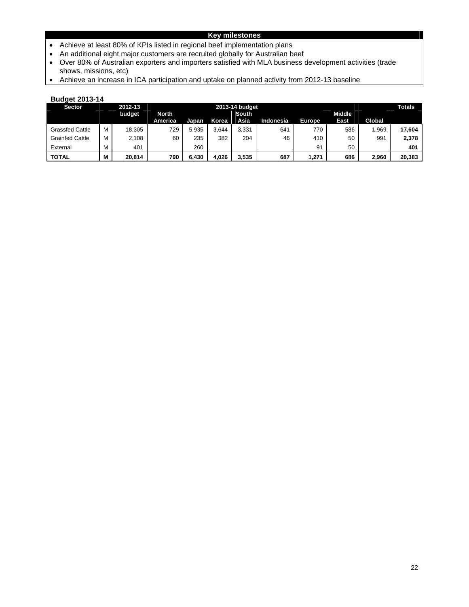### **Key milestones**

- Achieve at least 80% of KPIs listed in regional beef implementation plans
- An additional eight major customers are recruited globally for Australian beef
- Over 80% of Australian exporters and importers satisfied with MLA business development activities (trade shows, missions, etc)
- Achieve an increase in ICA participation and uptake on planned activity from 2012-13 baseline

| <b>Sector</b>          |   | 2012-13 | 2013-14 budget |       |       |       |           |               |        | <b>Totals</b> |        |
|------------------------|---|---------|----------------|-------|-------|-------|-----------|---------------|--------|---------------|--------|
|                        |   | budget  | North          |       |       | South |           |               | Middle |               |        |
|                        |   |         | America        | Japan | Korea | Asia  | Indonesia | <b>Europe</b> | East   | Global        |        |
| <b>Grassfed Cattle</b> |   | 18,305  | 729            | 5.935 | 3.644 | 3.331 | 641       | 770           | 586    | <b>969.</b>   | 17,604 |
| <b>Grainfed Cattle</b> |   | 2,108   | 60             | 235   | 382   | 204   | 46        | 410           | 50     | 991           | 2,378  |
| External               |   | 401     |                | 260   |       |       |           | 91            | 50     |               | 401    |
| TOTAL                  | М | 20.814  | 790            | 6,430 | 4,026 | 3.535 | 687       | 1,271         | 686    | 2,960         | 20,383 |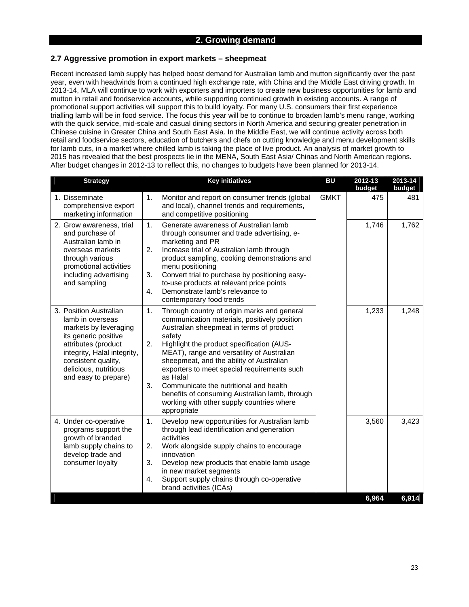### **2. Growing demand**

### **2.7 Aggressive promotion in export markets – sheepmeat**

Recent increased lamb supply has helped boost demand for Australian lamb and mutton significantly over the past year, even with headwinds from a continued high exchange rate, with China and the Middle East driving growth. In 2013-14, MLA will continue to work with exporters and importers to create new business opportunities for lamb and mutton in retail and foodservice accounts, while supporting continued growth in existing accounts. A range of promotional support activities will support this to build loyalty. For many U.S. consumers their first experience trialling lamb will be in food service. The focus this year will be to continue to broaden lamb's menu range, working with the quick service, mid-scale and casual dining sectors in North America and securing greater penetration in Chinese cuisine in Greater China and South East Asia. In the Middle East, we will continue activity across both retail and foodservice sectors, education of butchers and chefs on cutting knowledge and menu development skills for lamb cuts, in a market where chilled lamb is taking the place of live product. An analysis of market growth to 2015 has revealed that the best prospects lie in the MENA, South East Asia/ Chinas and North American regions. After budget changes in 2012-13 to reflect this, no changes to budgets have been planned for 2013-14.

| <b>Strategy</b>                                                                                                                                                                                                           | <b>Key initiatives</b>                                                                                                                                                                                                                                                                                                                                                                                                                                                                                                                                    | <b>BU</b>   | 2012-13<br>budget | 2013-14<br>budget |
|---------------------------------------------------------------------------------------------------------------------------------------------------------------------------------------------------------------------------|-----------------------------------------------------------------------------------------------------------------------------------------------------------------------------------------------------------------------------------------------------------------------------------------------------------------------------------------------------------------------------------------------------------------------------------------------------------------------------------------------------------------------------------------------------------|-------------|-------------------|-------------------|
| 1. Disseminate<br>comprehensive export<br>marketing information                                                                                                                                                           | 1.<br>Monitor and report on consumer trends (global<br>and local), channel trends and requirements,<br>and competitive positioning                                                                                                                                                                                                                                                                                                                                                                                                                        | <b>GMKT</b> | 475               | 481               |
| 2. Grow awareness, trial<br>and purchase of<br>Australian lamb in<br>overseas markets<br>through various<br>promotional activities<br>including advertising<br>and sampling                                               | 1.<br>Generate awareness of Australian lamb<br>through consumer and trade advertising, e-<br>marketing and PR<br>2.<br>Increase trial of Australian lamb through<br>product sampling, cooking demonstrations and<br>menu positioning<br>3.<br>Convert trial to purchase by positioning easy-<br>to-use products at relevant price points<br>$\overline{4}$ .<br>Demonstrate lamb's relevance to                                                                                                                                                           |             | 1,746             | 1,762             |
| 3. Position Australian<br>lamb in overseas<br>markets by leveraging<br>its generic positive<br>attributes (product<br>integrity, Halal integrity,<br>consistent quality,<br>delicious, nutritious<br>and easy to prepare) | contemporary food trends<br>1.<br>Through country of origin marks and general<br>communication materials, positively position<br>Australian sheepmeat in terms of product<br>safety<br>2.<br>Highlight the product specification (AUS-<br>MEAT), range and versatility of Australian<br>sheepmeat, and the ability of Australian<br>exporters to meet special requirements such<br>as Halal<br>3.<br>Communicate the nutritional and health<br>benefits of consuming Australian lamb, through<br>working with other supply countries where<br>appropriate |             | 1,233             | 1,248             |
| 4. Under co-operative<br>programs support the<br>growth of branded<br>lamb supply chains to<br>develop trade and<br>consumer loyalty                                                                                      | Develop new opportunities for Australian lamb<br>1.<br>through lead identification and generation<br>activities<br>2.<br>Work alongside supply chains to encourage<br>innovation<br>3.<br>Develop new products that enable lamb usage<br>in new market segments<br>Support supply chains through co-operative<br>4.<br>brand activities (ICAs)                                                                                                                                                                                                            |             | 3,560             | 3,423             |
|                                                                                                                                                                                                                           |                                                                                                                                                                                                                                                                                                                                                                                                                                                                                                                                                           |             | 6,964             | 6,914             |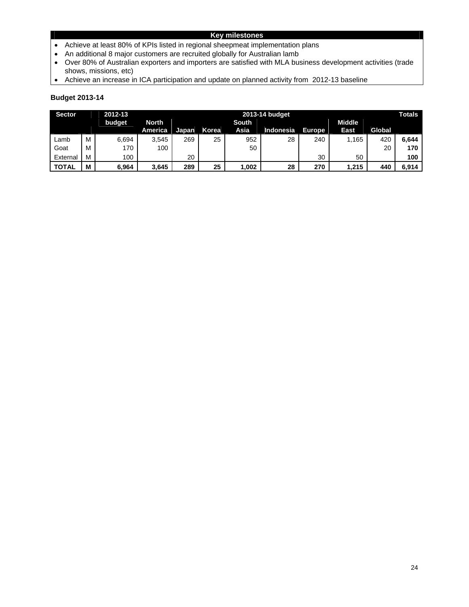### **Key milestones**

- Achieve at least 80% of KPIs listed in regional sheepmeat implementation plans
- An additional 8 major customers are recruited globally for Australian lamb
- Over 80% of Australian exporters and importers are satisfied with MLA business development activities (trade shows, missions, etc)
- Achieve an increase in ICA participation and update on planned activity from 2012-13 baseline

| <b>Sector</b><br>2012-13<br>2013-14 budget |   |        |              |              |       | <b>Totals</b> |           |               |               |        |       |
|--------------------------------------------|---|--------|--------------|--------------|-------|---------------|-----------|---------------|---------------|--------|-------|
|                                            |   | budget | <b>North</b> |              |       | <b>South</b>  |           |               | <b>Middle</b> |        |       |
|                                            |   |        | America      | <b>Japan</b> | Korea | Asia          | Indonesia | <b>Europe</b> | East          | Global |       |
| Lamb                                       | м | 6,694  | 3.545        | 269          | 25    | 952           | 28        | 240           | 1.165         | 420    | 6.644 |
| Goat                                       | м | 170    | 100          |              |       | 50            |           |               |               | 20     | 170   |
| External                                   | М | 100    |              | 20           |       |               |           | 30            | 50            |        | 100   |
| <b>TOTAL</b>                               | М | 6,964  | 3,645        | 289          | 25    | 002. ا        | 28        | 270           | 1,215         | 440    | 6,914 |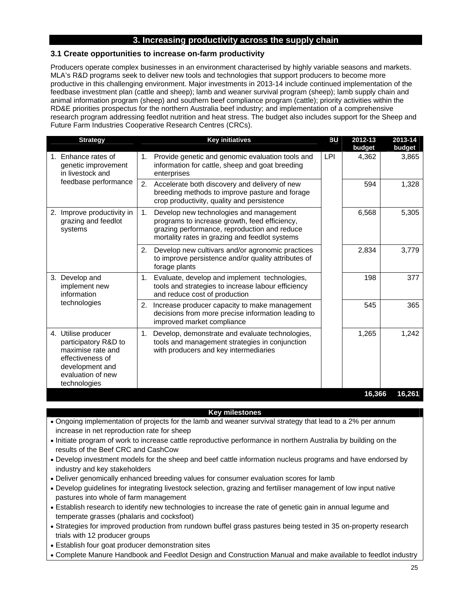### **3. Increasing productivity across the supply chain**

### **3.1 Create opportunities to increase on-farm productivity**

Producers operate complex businesses in an environment characterised by highly variable seasons and markets. MLA's R&D programs seek to deliver new tools and technologies that support producers to become more productive in this challenging environment. Major investments in 2013-14 include continued implementation of the feedbase investment plan (cattle and sheep); lamb and weaner survival program (sheep); lamb supply chain and animal information program (sheep) and southern beef compliance program (cattle); priority activities within the RD&E priorities prospectus for the northern Australia beef industry; and implementation of a comprehensive research program addressing feedlot nutrition and heat stress. The budget also includes support for the Sheep and Future Farm Industries Cooperative Research Centres (CRCs).

| <b>Strategy</b>                                                                                                                              | <b>Key initiatives</b>                                                                                                                                                                           | ВU         | 2012-13<br>budget | 2013-14<br>budget |
|----------------------------------------------------------------------------------------------------------------------------------------------|--------------------------------------------------------------------------------------------------------------------------------------------------------------------------------------------------|------------|-------------------|-------------------|
| 1. Enhance rates of<br>genetic improvement<br>in livestock and                                                                               | Provide genetic and genomic evaluation tools and<br>1.<br>information for cattle, sheep and goat breeding<br>enterprises                                                                         | <b>LPI</b> | 4,362             | 3,865             |
| feedbase performance                                                                                                                         | 2.<br>Accelerate both discovery and delivery of new<br>breeding methods to improve pasture and forage<br>crop productivity, quality and persistence                                              |            | 594               | 1,328             |
| 2. Improve productivity in<br>grazing and feedlot<br>systems                                                                                 | Develop new technologies and management<br>1.<br>programs to increase growth, feed efficiency,<br>grazing performance, reproduction and reduce<br>mortality rates in grazing and feedlot systems |            | 6,568             | 5,305             |
|                                                                                                                                              | Develop new cultivars and/or agronomic practices<br>2.<br>to improve persistence and/or quality attributes of<br>forage plants                                                                   |            | 2,834             | 3,779             |
| 3. Develop and<br>implement new<br>information                                                                                               | 1. Evaluate, develop and implement technologies,<br>tools and strategies to increase labour efficiency<br>and reduce cost of production                                                          |            | 198               | 377               |
| technologies                                                                                                                                 | 2. Increase producer capacity to make management<br>decisions from more precise information leading to<br>improved market compliance                                                             |            | 545               | 365               |
| 4. Utilise producer<br>participatory R&D to<br>maximise rate and<br>effectiveness of<br>development and<br>evaluation of new<br>technologies | 1. Develop, demonstrate and evaluate technologies,<br>tools and management strategies in conjunction<br>with producers and key intermediaries                                                    |            | 1,265             | 1,242             |
|                                                                                                                                              |                                                                                                                                                                                                  |            | 16,366            | 16,261            |

#### **Key milestones**

- Ongoing implementation of projects for the lamb and weaner survival strategy that lead to a 2% per annum increase in net reproduction rate for sheep
- Initiate program of work to increase cattle reproductive performance in northern Australia by building on the results of the Beef CRC and CashCow
- Develop investment models for the sheep and beef cattle information nucleus programs and have endorsed by industry and key stakeholders
- Deliver genomically enhanced breeding values for consumer evaluation scores for lamb
- Develop guidelines for integrating livestock selection, grazing and fertiliser management of low input native pastures into whole of farm management
- Establish research to identify new technologies to increase the rate of genetic gain in annual legume and temperate grasses (phalaris and cocksfoot)
- Strategies for improved production from rundown buffel grass pastures being tested in 35 on-property research trials with 12 producer groups
- Establish four goat producer demonstration sites
- Complete Manure Handbook and Feedlot Design and Construction Manual and make available to feedlot industry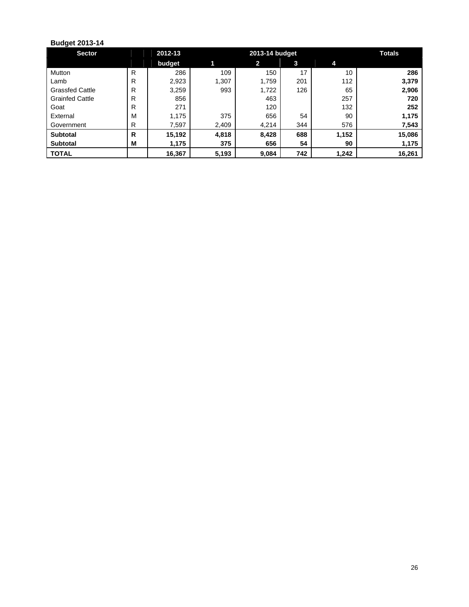| <b>Sector</b>          |   | 2012-13 |       | 2013-14 budget |     |       |        |  |
|------------------------|---|---------|-------|----------------|-----|-------|--------|--|
|                        |   | budget  |       | $\mathbf{2}$   | 3   | 4     |        |  |
| Mutton                 | R | 286     | 109   | 150            | 17  | 10    | 286    |  |
| Lamb                   | R | 2,923   | 1,307 | 1,759          | 201 | 112   | 3,379  |  |
| <b>Grassfed Cattle</b> | R | 3,259   | 993   | 1,722          | 126 | 65    | 2,906  |  |
| <b>Grainfed Cattle</b> | R | 856     |       | 463            |     | 257   | 720    |  |
| Goat                   | R | 271     |       | 120            |     | 132   | 252    |  |
| External               | M | 1,175   | 375   | 656            | 54  | 90    | 1,175  |  |
| Government             | R | 7,597   | 2,409 | 4,214          | 344 | 576   | 7,543  |  |
| <b>Subtotal</b>        | R | 15,192  | 4,818 | 8,428          | 688 | 1,152 | 15,086 |  |
| <b>Subtotal</b>        | M | 1,175   | 375   | 656            | 54  | 90    | 1,175  |  |
| <b>TOTAL</b>           |   | 16,367  | 5,193 | 9,084          | 742 | 1,242 | 16,261 |  |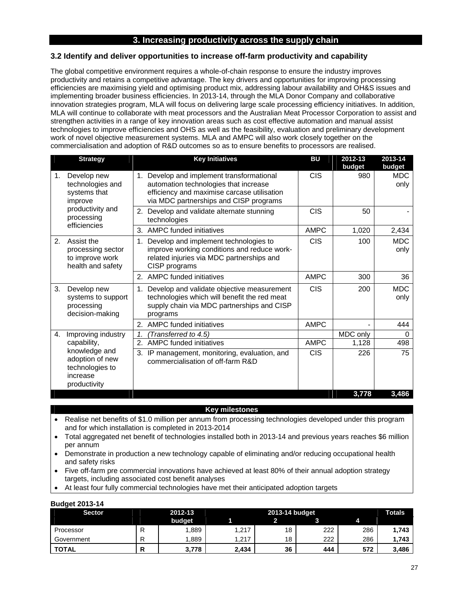### **3. Increasing productivity across the supply chain**

### **3.2 Identify and deliver opportunities to increase off-farm productivity and capability**

The global competitive environment requires a whole-of-chain response to ensure the industry improves productivity and retains a competitive advantage. The key drivers and opportunities for improving processing efficiencies are maximising yield and optimising product mix, addressing labour availability and OH&S issues and implementing broader business efficiencies. In 2013-14, through the MLA Donor Company and collaborative innovation strategies program, MLA will focus on delivering large scale processing efficiency initiatives. In addition, MLA will continue to collaborate with meat processors and the Australian Meat Processor Corporation to assist and strengthen activities in a range of key innovation areas such as cost effective automation and manual assist technologies to improve efficiencies and OHS as well as the feasibility, evaluation and preliminary development work of novel objective measurement systems. MLA and AMPC will also work closely together on the commercialisation and adoption of R&D outcomes so as to ensure benefits to processors are realised.

|              | <b>Strategy</b>                                                                 | <b>Key Initiatives</b>                                                                                                                                                      | BU          | 2012-13<br>budget | 2013-14<br>budget  |
|--------------|---------------------------------------------------------------------------------|-----------------------------------------------------------------------------------------------------------------------------------------------------------------------------|-------------|-------------------|--------------------|
| 1.           | Develop new<br>technologies and<br>systems that<br>improve                      | 1. Develop and implement transformational<br>automation technologies that increase<br>efficiency and maximise carcase utilisation<br>via MDC partnerships and CISP programs | <b>CIS</b>  | 980               | <b>MDC</b><br>only |
|              | productivity and<br>processing                                                  | 2. Develop and validate alternate stunning<br>technologies                                                                                                                  | <b>CIS</b>  | 50                |                    |
| efficiencies | 3. AMPC funded initiatives                                                      | <b>AMPC</b>                                                                                                                                                                 | 1,020       | 2,434             |                    |
| 2.           | Assist the<br>processing sector<br>to improve work<br>health and safety         | Develop and implement technologies to<br>1.<br>improve working conditions and reduce work-<br>related injuries via MDC partnerships and<br>CISP programs                    | <b>CIS</b>  | 100               | <b>MDC</b><br>only |
|              |                                                                                 | 2. AMPC funded initiatives                                                                                                                                                  | <b>AMPC</b> | 300               | 36                 |
| 3.           | Develop new<br>systems to support<br>processing<br>decision-making              | 1. Develop and validate objective measurement<br>technologies which will benefit the red meat<br>supply chain via MDC partnerships and CISP<br>programs                     | <b>CIS</b>  | 200               | <b>MDC</b><br>only |
|              |                                                                                 | 2. AMPC funded initiatives                                                                                                                                                  | <b>AMPC</b> | $\blacksquare$    | 444                |
| 4.           | Improving industry                                                              | 1.<br>(Transferred to 4.5)                                                                                                                                                  |             | MDC only          | $\Omega$           |
|              | capability,                                                                     | <b>AMPC funded initiatives</b><br>2.                                                                                                                                        | <b>AMPC</b> | 1,128             | 498                |
|              | knowledge and<br>adoption of new<br>technologies to<br>increase<br>productivity | IP management, monitoring, evaluation, and<br>3.<br>commercialisation of off-farm R&D                                                                                       | <b>CIS</b>  | 226               | 75                 |
|              |                                                                                 |                                                                                                                                                                             |             | 3,778             | 3,486              |

#### **Key milestones**

- Realise net benefits of \$1.0 million per annum from processing technologies developed under this program and for which installation is completed in 2013-2014
- Total aggregated net benefit of technologies installed both in 2013-14 and previous years reaches \$6 million per annum
- Demonstrate in production a new technology capable of eliminating and/or reducing occupational health and safety risks
- Five off-farm pre commercial innovations have achieved at least 80% of their annual adoption strategy targets, including associated cost benefit analyses
- At least four fully commercial technologies have met their anticipated adoption targets

| <b>Sector</b> |  | 2012-13 |       |    | 2013-14 budget |     |       |  |
|---------------|--|---------|-------|----|----------------|-----|-------|--|
|               |  | budget  |       |    |                |     |       |  |
| Processor     |  | .889    | 1.217 | 18 | 222            | 286 | 1,743 |  |
| Government    |  | .889    | .217  | 18 | 222            | 286 | 1.743 |  |
| TOTAL         |  | 3,778   | 2,434 | 36 | 444            | 572 | 3,486 |  |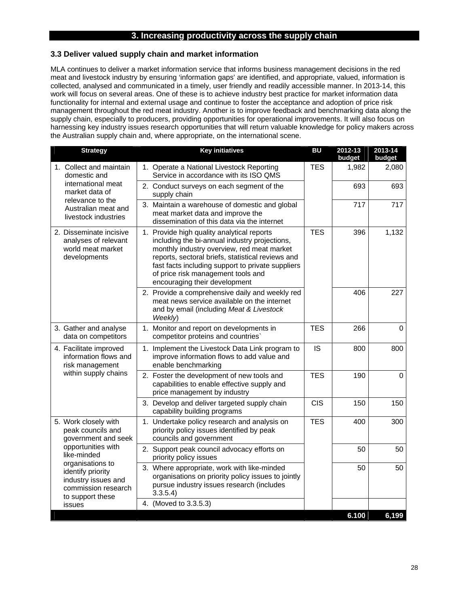### **3. Increasing productivity across the supply chain**

#### **3.3 Deliver valued supply chain and market information**

MLA continues to deliver a market information service that informs business management decisions in the red meat and livestock industry by ensuring 'information gaps' are identified, and appropriate, valued, information is collected, analysed and communicated in a timely, user friendly and readily accessible manner. In 2013-14, this work will focus on several areas. One of these is to achieve industry best practice for market information data functionality for internal and external usage and continue to foster the acceptance and adoption of price risk management throughout the red meat industry. Another is to improve feedback and benchmarking data along the supply chain, especially to producers, providing opportunities for operational improvements. It will also focus on harnessing key industry issues research opportunities that will return valuable knowledge for policy makers across the Australian supply chain and, where appropriate, on the international scene.

| <b>Strategy</b>                                                                                         | <b>Key initiatives</b>                                                                                                                                                                                                                                                                                                     | <b>BU</b>  | 2012-13<br>budget | 2013-14<br>budget |
|---------------------------------------------------------------------------------------------------------|----------------------------------------------------------------------------------------------------------------------------------------------------------------------------------------------------------------------------------------------------------------------------------------------------------------------------|------------|-------------------|-------------------|
| 1. Collect and maintain<br>domestic and                                                                 | 1. Operate a National Livestock Reporting<br>Service in accordance with its ISO QMS                                                                                                                                                                                                                                        | <b>TES</b> | 1,982             | 2,080             |
| international meat<br>market data of                                                                    | 2. Conduct surveys on each segment of the<br>supply chain                                                                                                                                                                                                                                                                  |            | 693               | 693               |
| relevance to the<br>Australian meat and<br>livestock industries                                         | 3. Maintain a warehouse of domestic and global<br>meat market data and improve the<br>dissemination of this data via the internet                                                                                                                                                                                          |            | 717               | 717               |
| 2. Disseminate incisive<br>analyses of relevant<br>world meat market<br>developments                    | 1. Provide high quality analytical reports<br>including the bi-annual industry projections,<br>monthly industry overview, red meat market<br>reports, sectoral briefs, statistical reviews and<br>fast facts including support to private suppliers<br>of price risk management tools and<br>encouraging their development | <b>TES</b> | 396               | 1,132             |
|                                                                                                         | 2. Provide a comprehensive daily and weekly red<br>meat news service available on the internet<br>and by email (including Meat & Livestock<br>Weekly)                                                                                                                                                                      |            | 406               | 227               |
| 3. Gather and analyse<br>data on competitors                                                            | 1. Monitor and report on developments in<br>competitor proteins and countries`                                                                                                                                                                                                                                             | <b>TES</b> | 266               | $\overline{0}$    |
| 4. Facilitate improved<br>information flows and<br>risk management                                      | 1. Implement the Livestock Data Link program to<br>improve information flows to add value and<br>enable benchmarking                                                                                                                                                                                                       | <b>IS</b>  | 800               | 800               |
| within supply chains                                                                                    | 2. Foster the development of new tools and<br>capabilities to enable effective supply and<br>price management by industry                                                                                                                                                                                                  | <b>TES</b> | 190               | $\Omega$          |
|                                                                                                         | 3. Develop and deliver targeted supply chain<br>capability building programs                                                                                                                                                                                                                                               | <b>CIS</b> | 150               | 150               |
| 5. Work closely with<br>peak councils and<br>government and seek                                        | 1. Undertake policy research and analysis on<br>priority policy issues identified by peak<br>councils and government                                                                                                                                                                                                       | <b>TES</b> | 400               | 300               |
| opportunities with<br>like-minded                                                                       | 2. Support peak council advocacy efforts on<br>priority policy issues                                                                                                                                                                                                                                                      |            | 50                | 50                |
| organisations to<br>identify priority<br>industry issues and<br>commission research<br>to support these | 3. Where appropriate, work with like-minded<br>organisations on priority policy issues to jointly<br>pursue industry issues research (includes<br>3.3.5.4                                                                                                                                                                  |            | 50                | 50                |
| issues                                                                                                  | 4. (Moved to 3.3.5.3)                                                                                                                                                                                                                                                                                                      |            |                   |                   |
|                                                                                                         |                                                                                                                                                                                                                                                                                                                            |            | 6.100             | 6,199             |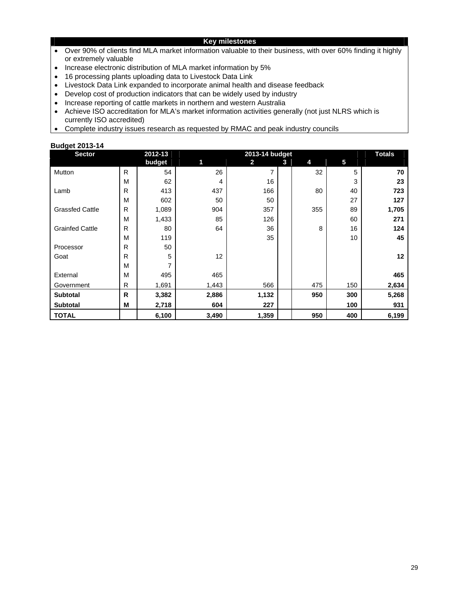#### **Key milestones**

- Over 90% of clients find MLA market information valuable to their business, with over 60% finding it highly or extremely valuable
- Increase electronic distribution of MLA market information by 5%
- 16 processing plants uploading data to Livestock Data Link
- Livestock Data Link expanded to incorporate animal health and disease feedback
- Develop cost of production indicators that can be widely used by industry
- Increase reporting of cattle markets in northern and western Australia
- Achieve ISO accreditation for MLA's market information activities generally (not just NLRS which is currently ISO accredited)
- Complete industry issues research as requested by RMAC and peak industry councils

| <b>Sector</b>          |              | 2012-13 |       | 2013-14 budget |   |     |     | <b>Totals</b> |
|------------------------|--------------|---------|-------|----------------|---|-----|-----|---------------|
|                        |              | budget  | 1     | 2              | 3 | 4   | 5   |               |
| Mutton                 | $\mathsf{R}$ | 54      | 26    | $\overline{7}$ |   | 32  | 5   | 70            |
|                        | M            | 62      | 4     | 16             |   |     | 3   | 23            |
| Lamb                   | R            | 413     | 437   | 166            |   | 80  | 40  | 723           |
|                        | M            | 602     | 50    | 50             |   |     | 27  | 127           |
| <b>Grassfed Cattle</b> | R            | 1,089   | 904   | 357            |   | 355 | 89  | 1,705         |
|                        | M            | 1,433   | 85    | 126            |   |     | 60  | 271           |
| <b>Grainfed Cattle</b> | R            | 80      | 64    | 36             |   | 8   | 16  | 124           |
|                        | M            | 119     |       | 35             |   |     | 10  | 45            |
| Processor              | R            | 50      |       |                |   |     |     |               |
| Goat                   | R            | 5       | 12    |                |   |     |     | 12            |
|                        | M            | 7       |       |                |   |     |     |               |
| External               | M            | 495     | 465   |                |   |     |     | 465           |
| Government             | R            | 1,691   | 1,443 | 566            |   | 475 | 150 | 2,634         |
| <b>Subtotal</b>        | R            | 3,382   | 2,886 | 1,132          |   | 950 | 300 | 5,268         |
| <b>Subtotal</b>        | M            | 2,718   | 604   | 227            |   |     | 100 | 931           |
| <b>TOTAL</b>           |              | 6,100   | 3,490 | 1,359          |   | 950 | 400 | 6,199         |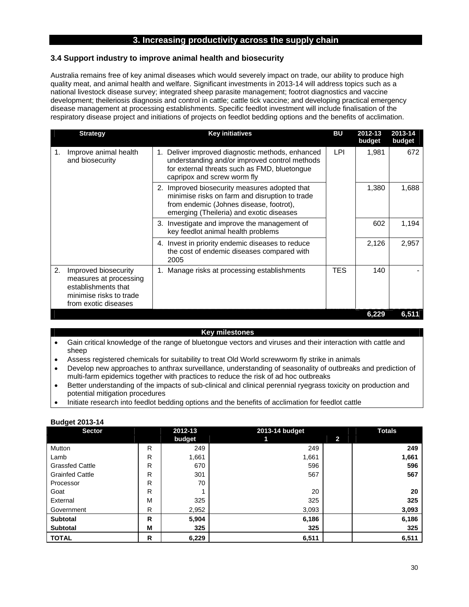### **3. Increasing productivity across the supply chain**

#### **3.4 Support industry to improve animal health and biosecurity**

Australia remains free of key animal diseases which would severely impact on trade, our ability to produce high quality meat, and animal health and welfare. Significant investments in 2013-14 will address topics such as a national livestock disease survey; integrated sheep parasite management; footrot diagnostics and vaccine development; theileriosis diagnosis and control in cattle; cattle tick vaccine; and developing practical emergency disease management at processing establishments. Specific feedlot investment will include finalisation of the respiratory disease project and initiations of projects on feedlot bedding options and the benefits of acclimation.

|                                                | <b>Strategy</b>                                                                                                                                                                  | <b>Key initiatives</b>                                                                                                                                                                 | BU         | 2012-13 | 2013-14 |
|------------------------------------------------|----------------------------------------------------------------------------------------------------------------------------------------------------------------------------------|----------------------------------------------------------------------------------------------------------------------------------------------------------------------------------------|------------|---------|---------|
|                                                |                                                                                                                                                                                  |                                                                                                                                                                                        |            | budget  | budget  |
| Improve animal health<br>1.<br>and biosecurity | 1. Deliver improved diagnostic methods, enhanced<br>understanding and/or improved control methods<br>for external threats such as FMD, bluetongue<br>capripox and screw worm fly | LPI.                                                                                                                                                                                   | 1.981      | 672     |         |
|                                                |                                                                                                                                                                                  | 2. Improved biosecurity measures adopted that<br>minimise risks on farm and disruption to trade<br>from endemic (Johnes disease, footrot),<br>emerging (Theileria) and exotic diseases |            | 1,380   | 1,688   |
|                                                |                                                                                                                                                                                  | 3. Investigate and improve the management of<br>key feedlot animal health problems                                                                                                     |            | 602     | 1,194   |
|                                                |                                                                                                                                                                                  | 4. Invest in priority endemic diseases to reduce<br>the cost of endemic diseases compared with<br>2005                                                                                 |            | 2,126   | 2,957   |
| 2.                                             | Improved biosecurity<br>measures at processing<br>establishments that<br>minimise risks to trade<br>from exotic diseases                                                         | Manage risks at processing establishments                                                                                                                                              | <b>TES</b> | 140     |         |
|                                                |                                                                                                                                                                                  |                                                                                                                                                                                        |            | 6,229   | 6,511   |

#### **Key milestones**

- Gain critical knowledge of the range of bluetongue vectors and viruses and their interaction with cattle and sheep
- Assess registered chemicals for suitability to treat Old World screwworm fly strike in animals
- Develop new approaches to anthrax surveillance, understanding of seasonality of outbreaks and prediction of multi-farm epidemics together with practices to reduce the risk of ad hoc outbreaks
- Better understanding of the impacts of sub-clinical and clinical perennial ryegrass toxicity on production and potential mitigation procedures
- Initiate research into feedlot bedding options and the benefits of acclimation for feedlot cattle

| <b>Sector</b>          |   | 2012-13 | 2013-14 budget |              |       |  |
|------------------------|---|---------|----------------|--------------|-------|--|
|                        |   | budget  |                | $\mathbf{2}$ |       |  |
| Mutton                 | R | 249     | 249            |              | 249   |  |
| Lamb                   | R | 1,661   | 1,661          |              | 1,661 |  |
| <b>Grassfed Cattle</b> | R | 670     | 596            |              | 596   |  |
| <b>Grainfed Cattle</b> | R | 301     | 567            |              | 567   |  |
| Processor              | R | 70      |                |              |       |  |
| Goat                   | R |         | 20             |              | 20    |  |
| External               | M | 325     | 325            |              | 325   |  |
| Government             | R | 2,952   | 3,093          |              | 3,093 |  |
| <b>Subtotal</b>        | R | 5,904   | 6,186          |              | 6,186 |  |
| <b>Subtotal</b>        | M | 325     | 325            |              | 325   |  |
| <b>TOTAL</b>           | R | 6,229   | 6,511          |              | 6,511 |  |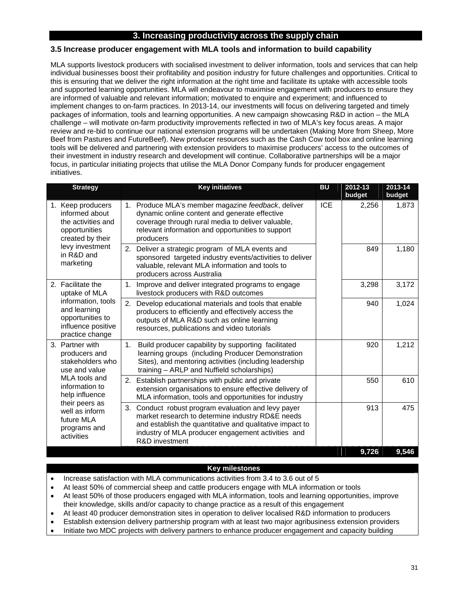### **3. Increasing productivity across the supply chain**

### **3.5 Increase producer engagement with MLA tools and information to build capability**

MLA supports livestock producers with socialised investment to deliver information, tools and services that can help individual businesses boost their profitability and position industry for future challenges and opportunities. Critical to this is ensuring that we deliver the right information at the right time and facilitate its uptake with accessible tools and supported learning opportunities. MLA will endeavour to maximise engagement with producers to ensure they are informed of valuable and relevant information; motivated to enquire and experiment; and influenced to implement changes to on-farm practices. In 2013-14, our investments will focus on delivering targeted and timely packages of information, tools and learning opportunities. A new campaign showcasing R&D in action – the MLA challenge – will motivate on-farm productivity improvements reflected in two of MLA's key focus areas. A major review and re-bid to continue our national extension programs will be undertaken (Making More from Sheep, More Beef from Pastures and FutureBeef). New producer resources such as the Cash Cow tool box and online learning tools will be delivered and partnering with extension providers to maximise producers' access to the outcomes of their investment in industry research and development will continue. Collaborative partnerships will be a major focus, in particular initiating projects that utilise the MLA Donor Company funds for producer engagement initiatives.

| <b>Strategy</b>                                                                                 | <b>Key initiatives</b>                                                                                                                                                                                                                                    | <b>BU</b>  | 2012-13<br>budget | 2013-14<br>budget |
|-------------------------------------------------------------------------------------------------|-----------------------------------------------------------------------------------------------------------------------------------------------------------------------------------------------------------------------------------------------------------|------------|-------------------|-------------------|
| 1. Keep producers<br>informed about<br>the activities and<br>opportunities<br>created by their  | 1. Produce MLA's member magazine feedback, deliver<br>dynamic online content and generate effective<br>coverage through rural media to deliver valuable,<br>relevant information and opportunities to support<br>producers                                | <b>ICE</b> | 2,256             | 1,873             |
| levy investment<br>in R&D and<br>marketing                                                      | Deliver a strategic program of MLA events and<br>2.<br>sponsored targeted industry events/activities to deliver<br>valuable, relevant MLA information and tools to<br>producers across Australia                                                          |            | 849               | 1,180             |
| 2. Facilitate the<br>uptake of MLA                                                              | Improve and deliver integrated programs to engage<br>1.<br>livestock producers with R&D outcomes                                                                                                                                                          |            | 3,298             | 3,172             |
| information, tools<br>and learning<br>opportunities to<br>influence positive<br>practice change | 2.<br>Develop educational materials and tools that enable<br>producers to efficiently and effectively access the<br>outputs of MLA R&D such as online learning<br>resources, publications and video tutorials                                             |            | 940               | 1,024             |
| 3. Partner with<br>producers and<br>stakeholders who<br>use and value                           | Build producer capability by supporting facilitated<br>1 <sub>1</sub><br>learning groups (including Producer Demonstration<br>Sites), and mentoring activities (including leadership<br>training - ARLP and Nuffield scholarships)                        |            | 920               | 1,212             |
| MLA tools and<br>information to<br>help influence                                               | Establish partnerships with public and private<br>2.<br>extension organisations to ensure effective delivery of<br>MLA information, tools and opportunities for industry                                                                                  |            | 550               | 610               |
| their peers as<br>well as inform<br>future MLA<br>programs and<br>activities                    | Conduct robust program evaluation and levy payer<br>3.<br>market research to determine industry RD&E needs<br>and establish the quantitative and qualitative impact to<br>industry of MLA producer engagement activities and<br><b>R&amp;D</b> investment |            | 913               | 475               |
|                                                                                                 |                                                                                                                                                                                                                                                           |            | 9,726             | 9,546             |

### **Key milestones**

- Increase satisfaction with MLA communications activities from 3.4 to 3.6 out of 5
- At least 50% of commercial sheep and cattle producers engage with MLA information or tools
- At least 50% of those producers engaged with MLA information, tools and learning opportunities, improve their knowledge, skills and/or capacity to change practice as a result of this engagement
- At least 40 producer demonstration sites in operation to deliver localised R&D information to producers
- Establish extension delivery partnership program with at least two major agribusiness extension providers
- Initiate two MDC projects with delivery partners to enhance producer engagement and capacity building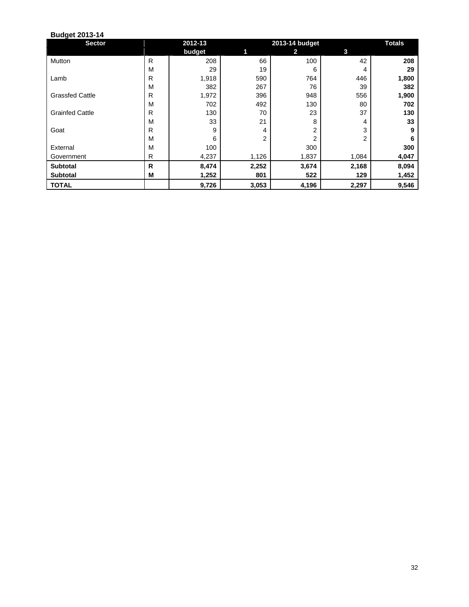| <b>Sector</b>          |   | 2012-13 |                | <b>Totals</b> |       |       |
|------------------------|---|---------|----------------|---------------|-------|-------|
|                        |   | budget  | 1              | 2.            | 3     |       |
| Mutton                 | R | 208     | 66             | 100           | 42    | 208   |
|                        | M | 29      | 19             | 6             | 4     | 29    |
| Lamb                   | R | 1,918   | 590            | 764           | 446   | 1,800 |
|                        | M | 382     | 267            | 76            | 39    | 382   |
| <b>Grassfed Cattle</b> | R | 1,972   | 396            | 948           | 556   | 1,900 |
|                        | M | 702     | 492            | 130           | 80    | 702   |
| <b>Grainfed Cattle</b> | R | 130     | 70             | 23            | 37    | 130   |
|                        | M | 33      | 21             | 8             | 4     | 33    |
| Goat                   | R | 9       | 4              | 2             | 3     | 9     |
|                        | M | 6       | $\overline{2}$ | 2             | 2     | 6     |
| External               | M | 100     |                | 300           |       | 300   |
| Government             | R | 4,237   | 1,126          | 1,837         | 1,084 | 4,047 |
| <b>Subtotal</b>        | R | 8,474   | 2,252          | 3,674         | 2,168 | 8,094 |
| <b>Subtotal</b>        | M | 1,252   | 801            | 522           | 129   | 1,452 |
| <b>TOTAL</b>           |   | 9,726   | 3,053          | 4,196         | 2,297 | 9,546 |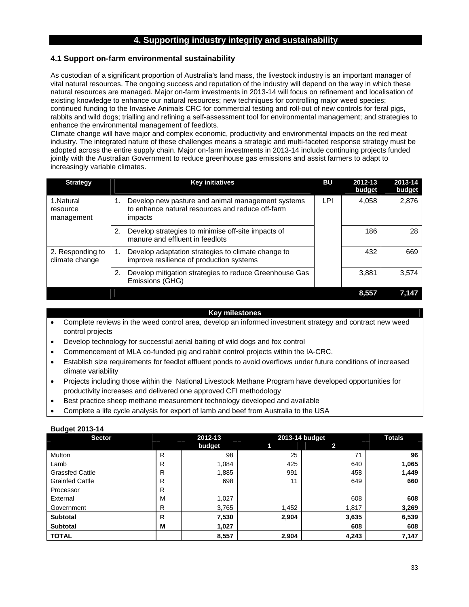### **4. Supporting industry integrity and sustainability**

### **4.1 Support on-farm environmental sustainability**

As custodian of a significant proportion of Australia's land mass, the livestock industry is an important manager of vital natural resources. The ongoing success and reputation of the industry will depend on the way in which these natural resources are managed. Major on-farm investments in 2013-14 will focus on refinement and localisation of existing knowledge to enhance our natural resources; new techniques for controlling major weed species; continued funding to the Invasive Animals CRC for commercial testing and roll-out of new controls for feral pigs, rabbits and wild dogs; trialling and refining a self-assessment tool for environmental management; and strategies to enhance the environmental management of feedlots.

Climate change will have major and complex economic, productivity and environmental impacts on the red meat industry. The integrated nature of these challenges means a strategic and multi-faceted response strategy must be adopted across the entire supply chain. Major on-farm investments in 2013-14 include continuing projects funded jointly with the Australian Government to reduce greenhouse gas emissions and assist farmers to adapt to increasingly variable climates.

| <b>Strategy</b>                     | <b>Key initiatives</b>                                                                                                        | BU | 2012-13<br>budget | 2013-14<br>budget |
|-------------------------------------|-------------------------------------------------------------------------------------------------------------------------------|----|-------------------|-------------------|
| 1.Natural<br>resource<br>management | LPI<br>Develop new pasture and animal management systems<br>1.<br>to enhance natural resources and reduce off-farm<br>impacts |    | 4,058             | 2,876             |
|                                     | Develop strategies to minimise off-site impacts of<br>2.<br>manure and effluent in feedlots                                   |    | 186               | 28                |
| 2. Responding to<br>climate change  | Develop adaptation strategies to climate change to<br>1.<br>improve resilience of production systems                          |    | 432               | 669               |
|                                     | Develop mitigation strategies to reduce Greenhouse Gas<br>2.<br>Emissions (GHG)                                               |    | 3,881             | 3,574             |
|                                     |                                                                                                                               |    | 8.557             | 7.147             |

### **Key milestones**

- Complete reviews in the weed control area, develop an informed investment strategy and contract new weed control projects
- Develop technology for successful aerial baiting of wild dogs and fox control
- Commencement of MLA co-funded pig and rabbit control projects within the IA-CRC.
- Establish size requirements for feedlot effluent ponds to avoid overflows under future conditions of increased climate variability
- Projects including those within the National Livestock Methane Program have developed opportunities for productivity increases and delivered one approved CFI methodology
- Best practice sheep methane measurement technology developed and available
- Complete a life cycle analysis for export of lamb and beef from Australia to the USA

| <b>Sector</b>          |   | 2012-13 |       | 2013-14 budget | <b>Totals</b> |
|------------------------|---|---------|-------|----------------|---------------|
|                        |   | budget  | 1     | 2.             |               |
| Mutton                 | R | 98      | 25    | 71             | 96            |
| Lamb                   | R | 1,084   | 425   | 640            | 1,065         |
| <b>Grassfed Cattle</b> | R | 1,885   | 991   | 458            | 1,449         |
| <b>Grainfed Cattle</b> | R | 698     | 11    | 649            | 660           |
| Processor              | R |         |       |                |               |
| External               | м | 1,027   |       | 608            | 608           |
| Government             | R | 3,765   | 1,452 | 1,817          | 3,269         |
| <b>Subtotal</b>        | R | 7,530   | 2,904 | 3,635          | 6,539         |
| <b>Subtotal</b>        | M | 1,027   |       | 608            | 608           |
| <b>TOTAL</b>           |   | 8,557   | 2,904 | 4,243          | 7,147         |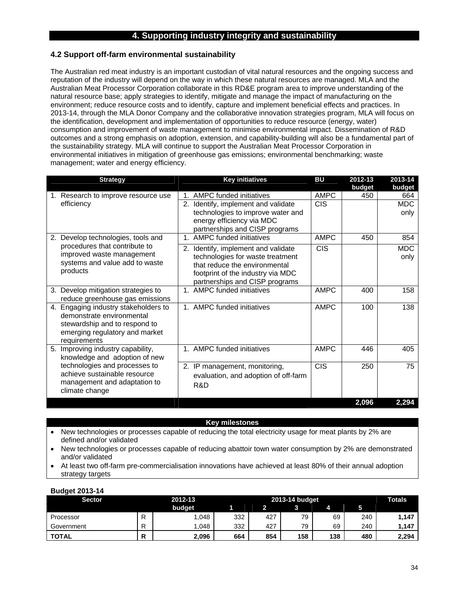### **4. Supporting industry integrity and sustainability**

### **4.2 Support off-farm environmental sustainability**

The Australian red meat industry is an important custodian of vital natural resources and the ongoing success and reputation of the industry will depend on the way in which these natural resources are managed. MLA and the Australian Meat Processor Corporation collaborate in this RD&E program area to improve understanding of the natural resource base; apply strategies to identify, mitigate and manage the impact of manufacturing on the environment; reduce resource costs and to identify, capture and implement beneficial effects and practices. In 2013-14, through the MLA Donor Company and the collaborative innovation strategies program, MLA will focus on the identification, development and implementation of opportunities to reduce resource (energy, water) consumption and improvement of waste management to minimise environmental impact. Dissemination of R&D outcomes and a strong emphasis on adoption, extension, and capability-building will also be a fundamental part of the sustainability strategy. MLA will continue to support the Australian Meat Processor Corporation in environmental initiatives in mitigation of greenhouse gas emissions; environmental benchmarking; waste management; water and energy efficiency.

| <b>Strategy</b>                                                                                                                                      | <b>Key initiatives</b>                                                                                                                                                                                                               | BU                        | 2012-13<br>budget | 2013-14<br>budget         |
|------------------------------------------------------------------------------------------------------------------------------------------------------|--------------------------------------------------------------------------------------------------------------------------------------------------------------------------------------------------------------------------------------|---------------------------|-------------------|---------------------------|
| 1. Research to improve resource use<br>efficiency                                                                                                    | <b>AMPC funded initiatives</b><br>$1_{-}$<br>2. Identify, implement and validate<br>technologies to improve water and<br>energy efficiency via MDC<br>partnerships and CISP programs                                                 | <b>AMPC</b><br><b>CIS</b> | 450               | 664<br><b>MDC</b><br>only |
| Develop technologies, tools and<br>2.<br>procedures that contribute to<br>improved waste management<br>systems and value add to waste<br>products    | <b>AMPC funded initiatives</b><br>$\mathbf{1}$<br>Identify, implement and validate<br>2.<br>technologies for waste treatment<br>that reduce the environmental<br>footprint of the industry via MDC<br>partnerships and CISP programs | <b>AMPC</b><br><b>CIS</b> | 450               | 854<br><b>MDC</b><br>only |
| 3. Develop mitigation strategies to<br>reduce greenhouse gas emissions                                                                               | AMPC funded initiatives<br>$1_{-}$                                                                                                                                                                                                   | <b>AMPC</b>               | 400               | 158                       |
| 4. Engaging industry stakeholders to<br>demonstrate environmental<br>stewardship and to respond to<br>emerging regulatory and market<br>requirements | AMPC funded initiatives<br>1 <sup>1</sup>                                                                                                                                                                                            | <b>AMPC</b>               | 100               | 138                       |
| 5. Improving industry capability,<br>knowledge and adoption of new                                                                                   | 1. AMPC funded initiatives                                                                                                                                                                                                           | <b>AMPC</b>               | 446               | 405                       |
| technologies and processes to<br>achieve sustainable resource<br>management and adaptation to<br>climate change                                      | 2. IP management, monitoring,<br>evaluation, and adoption of off-farm<br>R&D                                                                                                                                                         | <b>CIS</b>                | 250               | 75                        |
|                                                                                                                                                      |                                                                                                                                                                                                                                      |                           | 2,096             | 2,294                     |

#### **Key milestones**

- New technologies or processes capable of reducing the total electricity usage for meat plants by 2% are defined and/or validated
- New technologies or processes capable of reducing abattoir town water consumption by 2% are demonstrated and/or validated
- At least two off-farm pre-commercialisation innovations have achieved at least 80% of their annual adoption strategy targets

| . .<br><b>Sector</b> |        | 2012-13 |     | 2013-14 budget |     |     |     |       |
|----------------------|--------|---------|-----|----------------|-----|-----|-----|-------|
|                      |        | budget  |     |                | 3   |     |     |       |
| Processor            | D<br>R | 1.048   | 332 | 427            | 79  | 69  | 240 | 1,147 |
| Government           | D      | .048    | 332 | 427            | 79  | 69  | 240 | 1.147 |
| <b>TOTAL</b>         | D<br>D | 2,096   | 664 | 854            | 158 | 138 | 480 | 2,294 |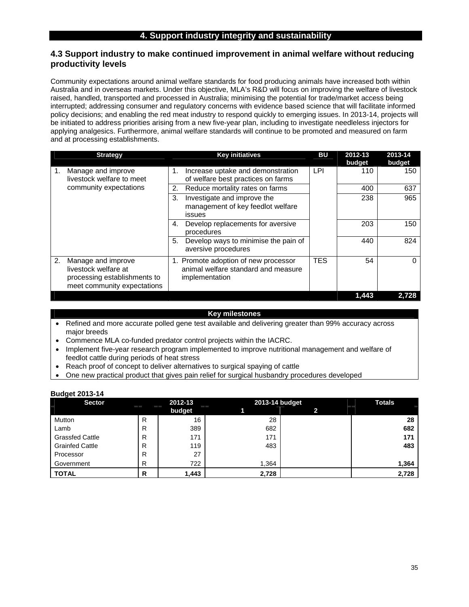### **4. Support industry integrity and sustainability**

### **4.3 Support industry to make continued improvement in animal welfare without reducing productivity levels**

Community expectations around animal welfare standards for food producing animals have increased both within Australia and in overseas markets. Under this objective, MLA's R&D will focus on improving the welfare of livestock raised, handled, transported and processed in Australia; minimising the potential for trade/market access being interrupted; addressing consumer and regulatory concerns with evidence based science that will facilitate informed policy decisions; and enabling the red meat industry to respond quickly to emerging issues. In 2013-14, projects will be initiated to address priorities arising from a new five-year plan, including to investigate needleless injectors for applying analgesics. Furthermore, animal welfare standards will continue to be promoted and measured on farm and at processing establishments.

| <b>Strategy</b>                                                                                                 | <b>Key initiatives</b>                                                                        | BU         | 2012-13<br>budget | 2013-14<br>budget |
|-----------------------------------------------------------------------------------------------------------------|-----------------------------------------------------------------------------------------------|------------|-------------------|-------------------|
| Manage and improve<br>1.<br>livestock welfare to meet                                                           | Increase uptake and demonstration<br>1.<br>of welfare best practices on farms                 | LPI        | 110               | 150               |
| community expectations                                                                                          | Reduce mortality rates on farms<br>2.                                                         |            | 400               | 637               |
|                                                                                                                 | Investigate and improve the<br>3.<br>management of key feedlot welfare<br>issues              |            | 238               | 965               |
|                                                                                                                 | Develop replacements for aversive<br>4.<br>procedures                                         |            | 203               | 150               |
|                                                                                                                 | Develop ways to minimise the pain of<br>5.<br>aversive procedures                             |            | 440               | 824               |
| 2.<br>Manage and improve<br>livestock welfare at<br>processing establishments to<br>meet community expectations | 1. Promote adoption of new processor<br>animal welfare standard and measure<br>implementation | <b>TES</b> | 54                | 0                 |
|                                                                                                                 |                                                                                               |            | 1.443             | 2.728             |

#### **Key milestones**

- Refined and more accurate polled gene test available and delivering greater than 99% accuracy across major breeds
- Commence MLA co-funded predator control projects within the IACRC.
- Implement five-year research program implemented to improve nutritional management and welfare of feedlot cattle during periods of heat stress
- Reach proof of concept to deliver alternatives to surgical spaying of cattle
- One new practical product that gives pain relief for surgical husbandry procedures developed

| . .<br><b>Sector</b>   |   | 2012-13 | 2013-14 budget | <b>Totals</b> |       |
|------------------------|---|---------|----------------|---------------|-------|
|                        |   | budget  |                | 2             |       |
| Mutton                 | R | 16      | 28             |               | 28    |
| Lamb                   | R | 389     | 682            |               | 682   |
| <b>Grassfed Cattle</b> | R | 171     | 171            |               | 171   |
| <b>Grainfed Cattle</b> | R | 119     | 483            |               | 483   |
| Processor              | R | 27      |                |               |       |
| Government             | R | 722     | 1,364          |               | 1,364 |
| <b>TOTAL</b>           | R | 1,443   | 2,728          |               | 2,728 |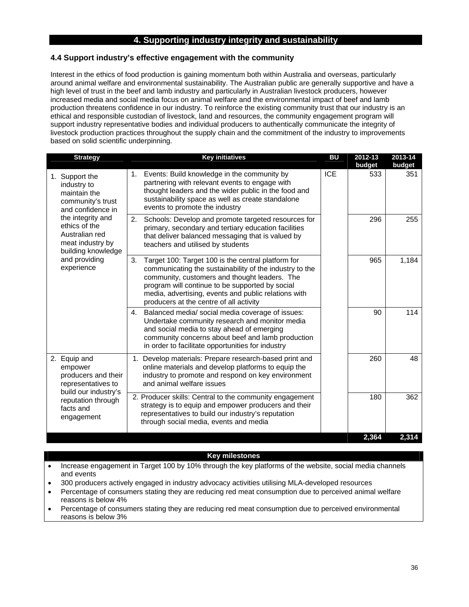### **4. Supporting industry integrity and sustainability**

### **4.4 Support industry's effective engagement with the community**

Interest in the ethics of food production is gaining momentum both within Australia and overseas, particularly around animal welfare and environmental sustainability. The Australian public are generally supportive and have a high level of trust in the beef and lamb industry and particularly in Australian livestock producers, however increased media and social media focus on animal welfare and the environmental impact of beef and lamb production threatens confidence in our industry. To reinforce the existing community trust that our industry is an ethical and responsible custodian of livestock, land and resources, the community engagement program will support industry representative bodies and individual producers to authentically communicate the integrity of livestock production practices throughout the supply chain and the commitment of the industry to improvements based on solid scientific underpinning.

| <b>Strategy</b>                                                                                | <b>Key initiatives</b>                                                                                                                                                                                                                                                                                                     | <b>BU</b>  | 2012-13<br>budget | 2013-14<br>budget |
|------------------------------------------------------------------------------------------------|----------------------------------------------------------------------------------------------------------------------------------------------------------------------------------------------------------------------------------------------------------------------------------------------------------------------------|------------|-------------------|-------------------|
| 1. Support the<br>industry to<br>maintain the<br>community's trust<br>and confidence in        | Events: Build knowledge in the community by<br>1.<br>partnering with relevant events to engage with<br>thought leaders and the wider public in the food and<br>sustainability space as well as create standalone<br>events to promote the industry                                                                         | <b>ICE</b> | 533               | 351               |
| the integrity and<br>ethics of the<br>Australian red<br>meat industry by<br>building knowledge | 2.<br>Schools: Develop and promote targeted resources for<br>primary, secondary and tertiary education facilities<br>that deliver balanced messaging that is valued by<br>teachers and utilised by students                                                                                                                |            | 296               | 255               |
| and providing<br>experience                                                                    | Target 100: Target 100 is the central platform for<br>3.<br>communicating the sustainability of the industry to the<br>community, customers and thought leaders. The<br>program will continue to be supported by social<br>media, advertising, events and public relations with<br>producers at the centre of all activity |            | 965               | 1,184             |
|                                                                                                | 4. Balanced media/ social media coverage of issues:<br>Undertake community research and monitor media<br>and social media to stay ahead of emerging<br>community concerns about beef and lamb production<br>in order to facilitate opportunities for industry                                                              |            | 90                | 114               |
| 2. Equip and<br>empower<br>producers and their<br>representatives to                           | 1. Develop materials: Prepare research-based print and<br>online materials and develop platforms to equip the<br>industry to promote and respond on key environment<br>and animal welfare issues                                                                                                                           |            | 260               | 48                |
| build our industry's<br>reputation through<br>facts and<br>engagement                          | 2. Producer skills: Central to the community engagement<br>strategy is to equip and empower producers and their<br>representatives to build our industry's reputation<br>through social media, events and media                                                                                                            |            | 180               | 362               |
|                                                                                                |                                                                                                                                                                                                                                                                                                                            |            | 2,364             | 2,314             |

### **Key milestones**

• Increase engagement in Target 100 by 10% through the key platforms of the website, social media channels and events

- 300 producers actively engaged in industry advocacy activities utilising MLA-developed resources
- Percentage of consumers stating they are reducing red meat consumption due to perceived animal welfare reasons is below 4%
- Percentage of consumers stating they are reducing red meat consumption due to perceived environmental reasons is below 3%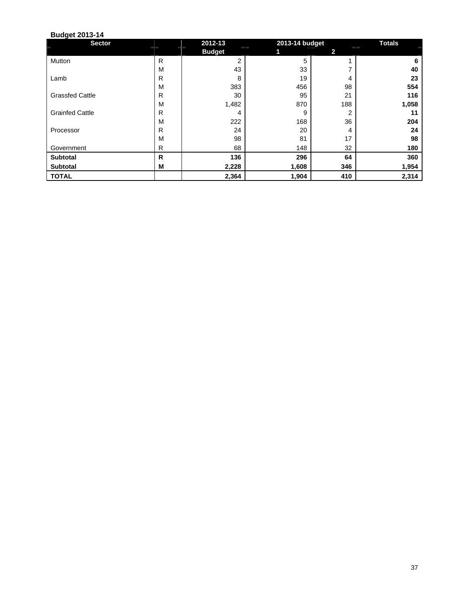| <b>Sector</b>          |   | 2012-13       | 2013-14 budget |                | <b>Totals</b> |
|------------------------|---|---------------|----------------|----------------|---------------|
|                        |   | <b>Budget</b> |                | $\mathbf{2}$   |               |
| Mutton                 | R | 2             | 5              |                | 6             |
|                        | M | 43            | 33             |                | 40            |
| Lamb                   | R | 8             | 19             | 4              | 23            |
|                        | M | 383           | 456            | 98             | 554           |
| <b>Grassfed Cattle</b> | R | 30            | 95             | 21             | 116           |
|                        | M | 1,482         | 870            | 188            | 1,058         |
| <b>Grainfed Cattle</b> | R | 4             | 9              | $\overline{2}$ | 11            |
|                        | M | 222           | 168            | 36             | 204           |
| Processor              | R | 24            | 20             | 4              | 24            |
|                        | M | 98            | 81             | 17             | 98            |
| Government             | R | 68            | 148            | 32             | 180           |
| <b>Subtotal</b>        | R | 136           | 296            | 64             | 360           |
| <b>Subtotal</b>        | М | 2,228         | 1,608          | 346            | 1,954         |
| <b>TOTAL</b>           |   | 2,364         | 1,904          | 410            | 2,314         |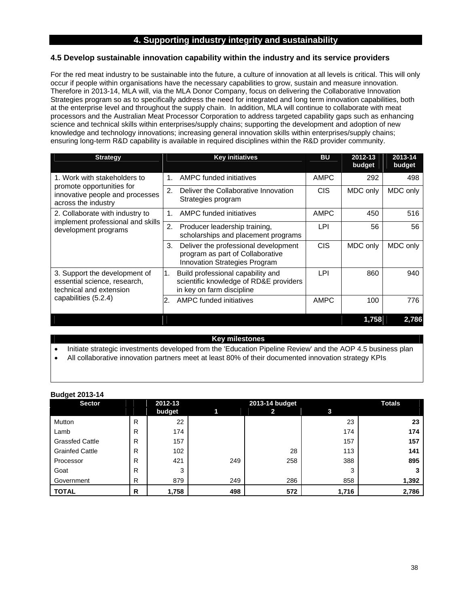### **4. Supporting industry integrity and sustainability**

### **4.5 Develop sustainable innovation capability within the industry and its service providers**

For the red meat industry to be sustainable into the future, a culture of innovation at all levels is critical. This will only occur if people within organisations have the necessary capabilities to grow, sustain and measure innovation. Therefore in 2013-14, MLA will, via the MLA Donor Company, focus on delivering the Collaborative Innovation Strategies program so as to specifically address the need for integrated and long term innovation capabilities, both at the enterprise level and throughout the supply chain. In addition, MLA will continue to collaborate with meat processors and the Australian Meat Processor Corporation to address targeted capability gaps such as enhancing science and technical skills within enterprises/supply chains; supporting the development and adoption of new knowledge and technology innovations; increasing general innovation skills within enterprises/supply chains; ensuring long-term R&D capability is available in required disciplines within the R&D provider community.

| <b>Strategy</b>                                                                                                  | <b>Key initiatives</b>                                                                                          | <b>BU</b>        | 2012-13<br>budget | 2013-14<br>budget |
|------------------------------------------------------------------------------------------------------------------|-----------------------------------------------------------------------------------------------------------------|------------------|-------------------|-------------------|
| 1. Work with stakeholders to                                                                                     | AMPC funded initiatives                                                                                         | <b>AMPC</b>      | 292               | 498               |
| promote opportunities for<br>innovative people and processes<br>across the industry                              | Deliver the Collaborative Innovation<br>2.<br>Strategies program                                                | C <sub>I</sub> S | MDC only          | MDC only          |
| 2. Collaborate with industry to<br>implement professional and skills                                             | AMPC funded initiatives<br>$1_{-}$                                                                              | <b>AMPC</b>      | 450               | 516               |
| development programs                                                                                             | 2.<br>Producer leadership training,<br>scholarships and placement programs                                      | LPI              | 56                | 56                |
|                                                                                                                  | Deliver the professional development<br>3.<br>program as part of Collaborative<br>Innovation Strategies Program | <b>CIS</b>       | MDC only          | MDC only          |
| 3. Support the development of<br>essential science, research,<br>technical and extension<br>capabilities (5.2.4) | Build professional capability and<br>1.<br>scientific knowledge of RD&E providers<br>in key on farm discipline  | LPI              | 860               | 940               |
|                                                                                                                  | AMPC funded initiatives<br>2.                                                                                   | <b>AMPC</b>      | 100               | 776               |
|                                                                                                                  |                                                                                                                 |                  | 1,758             | 2,786             |

### **Key milestones**

- Initiate strategic investments developed from the 'Education Pipeline Review' and the AOP 4.5 business plan
- All collaborative innovation partners meet at least 80% of their documented innovation strategy KPIs

| ∼<br><b>Sector</b>     |              | 2012-13 |     | 2013-14 budget |       | <b>Totals</b> |
|------------------------|--------------|---------|-----|----------------|-------|---------------|
|                        |              | budget  | 1   | 2              | 3     |               |
| Mutton                 | $\mathsf{R}$ | 22      |     |                | 23    | 23            |
| Lamb                   | R            | 174     |     |                | 174   | 174           |
| <b>Grassfed Cattle</b> | R            | 157     |     |                | 157   | 157           |
| <b>Grainfed Cattle</b> | R            | 102     |     | 28             | 113   | 141           |
| Processor              | R            | 421     | 249 | 258            | 388   | 895           |
| Goat                   | R            | 3       |     |                | 3     |               |
| Government             | R            | 879     | 249 | 286            | 858   | 1,392         |
| <b>TOTAL</b>           | R            | 1,758   | 498 | 572            | 1,716 | 2,786         |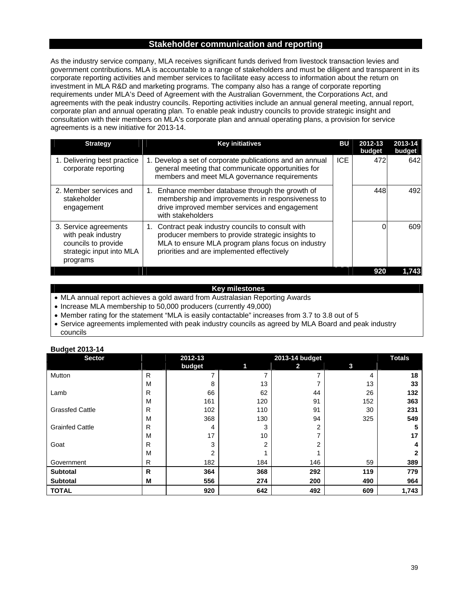### **Stakeholder communication and reporting**

As the industry service company, MLA receives significant funds derived from livestock transaction levies and government contributions. MLA is accountable to a range of stakeholders and must be diligent and transparent in its corporate reporting activities and member services to facilitate easy access to information about the return on investment in MLA R&D and marketing programs. The company also has a range of corporate reporting requirements under MLA's Deed of Agreement with the Australian Government, the Corporations Act, and agreements with the peak industry councils. Reporting activities include an annual general meeting, annual report, corporate plan and annual operating plan. To enable peak industry councils to provide strategic insight and consultation with their members on MLA's corporate plan and annual operating plans, a provision for service agreements is a new initiative for 2013-14.

| <b>Strategy</b>                                                                                            | <b>Key initiatives</b>                                                                                                                                                                                        | вu         | 2012-13<br>budget | 2013-14<br>budget |
|------------------------------------------------------------------------------------------------------------|---------------------------------------------------------------------------------------------------------------------------------------------------------------------------------------------------------------|------------|-------------------|-------------------|
| 1. Delivering best practice<br>corporate reporting                                                         | 1. Develop a set of corporate publications and an annual<br>general meeting that communicate opportunities for<br>members and meet MLA governance requirements                                                | <b>ICE</b> | 472               | 642               |
| 2. Member services and<br>stakeholder<br>engagement                                                        | Enhance member database through the growth of<br>1.<br>membership and improvements in responsiveness to<br>drive improved member services and engagement<br>with stakeholders                                 |            | 448               | 492               |
| 3. Service agreements<br>with peak industry<br>councils to provide<br>strategic input into MLA<br>programs | Contract peak industry councils to consult with<br>1.<br>producer members to provide strategic insights to<br>MLA to ensure MLA program plans focus on industry<br>priorities and are implemented effectively |            |                   | 609               |
|                                                                                                            |                                                                                                                                                                                                               |            | 920               | 1.743             |

### **Key milestones**

• MLA annual report achieves a gold award from Australasian Reporting Awards

• Increase MLA membership to 50,000 producers (currently 49,000)

• Member rating for the statement "MLA is easily contactable" increases from 3.7 to 3.8 out of 5

 Service agreements implemented with peak industry councils as agreed by MLA Board and peak industry councils

| <b>Sector</b>          |   | 2012-13 |     | 2013-14 budget |     | <b>Totals</b> |
|------------------------|---|---------|-----|----------------|-----|---------------|
|                        |   | budget  | 11  | 2.             | 3   |               |
| Mutton                 | R |         |     |                | 4   | 18            |
|                        | M | 8       | 13  |                | 13  | 33            |
| Lamb                   | R | 66      | 62  | 44             | 26  | 132           |
|                        | M | 161     | 120 | 91             | 152 | 363           |
| <b>Grassfed Cattle</b> | R | 102     | 110 | 91             | 30  | 231           |
|                        | M | 368     | 130 | 94             | 325 | 549           |
| <b>Grainfed Cattle</b> | R | 4       | 3   | 2              |     | 5             |
|                        | M | 17      | 10  | ⇁              |     | 17            |
| Goat                   | R | 3       | ⌒   | 2              |     | 4             |
|                        | M | 2       |     |                |     |               |
| Government             | R | 182     | 184 | 146            | 59  | 389           |
| <b>Subtotal</b>        | R | 364     | 368 | 292            | 119 | 779           |
| <b>Subtotal</b>        | M | 556     | 274 | 200            | 490 | 964           |
| <b>TOTAL</b>           |   | 920     | 642 | 492            | 609 | 1,743         |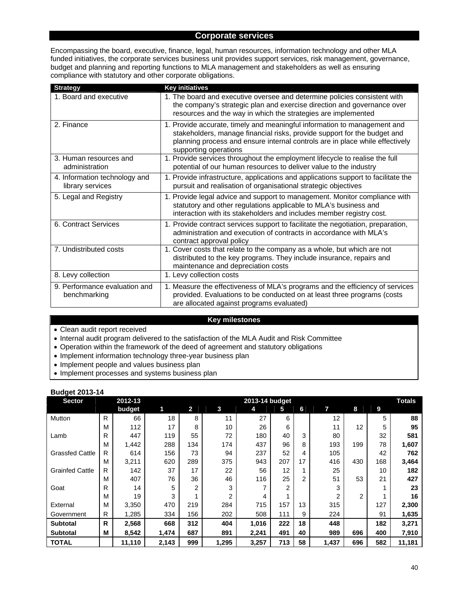### **Corporate services**

Encompassing the board, executive, finance, legal, human resources, information technology and other MLA funded initiatives, the corporate services business unit provides support services, risk management, governance, budget and planning and reporting functions to MLA management and stakeholders as well as ensuring compliance with statutory and other corporate obligations.

| <b>Strategy</b>                                   | <b>Key initiatives</b>                                                                                                                                                                                                                                        |
|---------------------------------------------------|---------------------------------------------------------------------------------------------------------------------------------------------------------------------------------------------------------------------------------------------------------------|
| 1. Board and executive                            | 1. The board and executive oversee and determine policies consistent with<br>the company's strategic plan and exercise direction and governance over<br>resources and the way in which the strategies are implemented                                         |
| 2. Finance                                        | 1. Provide accurate, timely and meaningful information to management and<br>stakeholders, manage financial risks, provide support for the budget and<br>planning process and ensure internal controls are in place while effectively<br>supporting operations |
| 3. Human resources and<br>administration          | 1. Provide services throughout the employment lifecycle to realise the full<br>potential of our human resources to deliver value to the industry                                                                                                              |
| 4. Information technology and<br>library services | 1. Provide infrastructure, applications and applications support to facilitate the<br>pursuit and realisation of organisational strategic objectives                                                                                                          |
| 5. Legal and Registry                             | 1. Provide legal advice and support to management. Monitor compliance with<br>statutory and other regulations applicable to MLA's business and<br>interaction with its stakeholders and includes member registry cost.                                        |
| 6. Contract Services                              | 1. Provide contract services support to facilitate the negotiation, preparation,<br>administration and execution of contracts in accordance with MLA's<br>contract approval policy                                                                            |
| 7. Undistributed costs                            | 1. Cover costs that relate to the company as a whole, but which are not<br>distributed to the key programs. They include insurance, repairs and<br>maintenance and depreciation costs                                                                         |
| 8. Levy collection                                | 1. Levy collection costs                                                                                                                                                                                                                                      |
| 9. Performance evaluation and<br>benchmarking     | 1. Measure the effectiveness of MLA's programs and the efficiency of services<br>provided. Evaluations to be conducted on at least three programs (costs<br>are allocated against programs evaluated)                                                         |

### **Key milestones**

Clean audit report received

Internal audit program delivered to the satisfaction of the MLA Audit and Risk Committee

- Operation within the framework of the deed of agreement and statutory obligations
- Implement information technology three-year business plan
- Implement people and values business plan
- Implement processes and systems business plan ٠

| <b>Sector</b>          |              | 2012-13 | 2013-14 budget |                |                |       |     |    |       |     |     |        |
|------------------------|--------------|---------|----------------|----------------|----------------|-------|-----|----|-------|-----|-----|--------|
|                        |              | budget  | 1              | $\overline{2}$ | 3              | 4     | 5   | 6  | 7     | 8   | 9   |        |
| Mutton                 | $\mathsf{R}$ | 66      | 18             | 8              | 11             | 27    | 6   |    | 12    |     | 5   | 88     |
|                        | M            | 112     | 17             | 8              | 10             | 26    | 6   |    | 11    | 12  | 5   | 95     |
| Lamb                   | $\mathsf{R}$ | 447     | 119            | 55             | 72             | 180   | 40  | 3  | 80    |     | 32  | 581    |
|                        | M            | 1,442   | 288            | 134            | 174            | 437   | 96  | 8  | 193   | 199 | 78  | 1,607  |
| <b>Grassfed Cattle</b> | $\mathsf{R}$ | 614     | 156            | 73             | 94             | 237   | 52  | 4  | 105   |     | 42  | 762    |
|                        | M            | 3,211   | 620            | 289            | 375            | 943   | 207 | 17 | 416   | 430 | 168 | 3,464  |
| <b>Grainfed Cattle</b> | R            | 142     | 37             | 17             | 22             | 56    | 12  |    | 25    |     | 10  | 182    |
|                        | м            | 407     | 76             | 36             | 46             | 116   | 25  | 2  | 51    | 53  | 21  | 427    |
| Goat                   | R            | 14      | 5              | 2              | 3              |       | 2   |    | 3     |     |     | 23     |
|                        | M            | 19      | 3              |                | $\overline{2}$ | 4     |     |    | 2     | 2   |     | 16     |
| External               | M            | 3,350   | 470            | 219            | 284            | 715   | 157 | 13 | 315   |     | 127 | 2,300  |
| Government             | R            | 1,285   | 334            | 156            | 202            | 508   | 111 | 9  | 224   |     | 91  | 1,635  |
| <b>Subtotal</b>        | $\mathsf{R}$ | 2,568   | 668            | 312            | 404            | 1,016 | 222 | 18 | 448   |     | 182 | 3,271  |
| <b>Subtotal</b>        | м            | 8,542   | 1,474          | 687            | 891            | 2,241 | 491 | 40 | 989   | 696 | 400 | 7,910  |
| <b>TOTAL</b>           |              | 11,110  | 2,143          | 999            | 1,295          | 3,257 | 713 | 58 | 1,437 | 696 | 582 | 11,181 |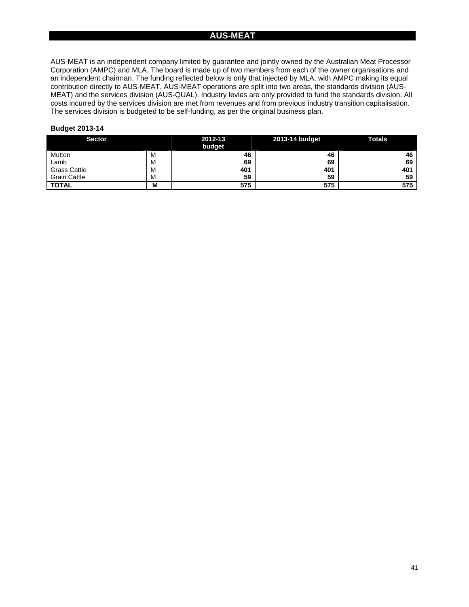### **AUS-MEAT**

AUS-MEAT is an independent company limited by guarantee and jointly owned by the Australian Meat Processor Corporation (AMPC) and MLA. The board is made up of two members from each of the owner organisations and an independent chairman. The funding reflected below is only that injected by MLA, with AMPC making its equal contribution directly to AUS-MEAT. AUS-MEAT operations are split into two areas, the standards division (AUS-MEAT) and the services division (AUS-QUAL). Industry levies are only provided to fund the standards division. All costs incurred by the services division are met from revenues and from previous industry transition capitalisation. The services division is budgeted to be self-funding, as per the original business plan.

| <b>Sector</b>       |   | 2012-13<br>__<br>_ | 2013-14 budget | <b>Totals</b><br>__ |
|---------------------|---|--------------------|----------------|---------------------|
|                     |   | budget             |                |                     |
| Mutton              | M | 46                 | 46             | 46                  |
| Lamb                | M | 69                 | 69             | 69                  |
| <b>Grass Cattle</b> | M | 401                | 401            | 401                 |
| <b>Grain Cattle</b> | M | 59                 | 59             | 59                  |
| <b>TOTAL</b>        | M | 575                | 575            | 575                 |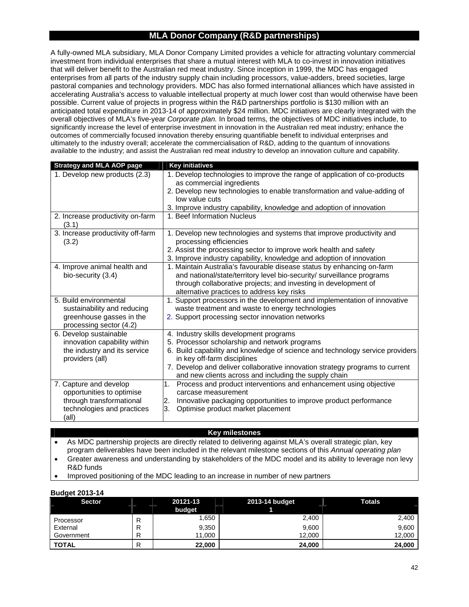### **MLA Donor Company (R&D partnerships)**

A fully-owned MLA subsidiary, MLA Donor Company Limited provides a vehicle for attracting voluntary commercial investment from individual enterprises that share a mutual interest with MLA to co-invest in innovation initiatives that will deliver benefit to the Australian red meat industry. Since inception in 1999, the MDC has engaged enterprises from all parts of the industry supply chain including processors, value-adders, breed societies, large pastoral companies and technology providers. MDC has also formed international alliances which have assisted in accelerating Australia's access to valuable intellectual property at much lower cost than would otherwise have been possible. Current value of projects in progress within the R&D partnerships portfolio is \$130 million with an anticipated total expenditure in 2013-14 of approximately \$24 million. MDC initiatives are clearly integrated with the overall objectives of MLA's five-year *Corporate plan.* In broad terms, the objectives of MDC initiatives include, to significantly increase the level of enterprise investment in innovation in the Australian red meat industry; enhance the outcomes of commercially focused innovation thereby ensuring quantifiable benefit to individual enterprises and ultimately to the industry overall; accelerate the commercialisation of R&D, adding to the quantum of innovations available to the industry; and assist the Australian red meat industry to develop an innovation culture and capability.

| <b>Strategy and MLA AOP page</b>           | <b>Key initiatives</b>                                                                           |
|--------------------------------------------|--------------------------------------------------------------------------------------------------|
| 1. Develop new products (2.3)              | 1. Develop technologies to improve the range of application of co-products                       |
|                                            | as commercial ingredients                                                                        |
|                                            | 2. Develop new technologies to enable transformation and value-adding of                         |
|                                            | low value cuts                                                                                   |
|                                            | 3. Improve industry capability, knowledge and adoption of innovation                             |
| 2. Increase productivity on-farm<br>(3.1)  | 1. Beef Information Nucleus                                                                      |
| 3. Increase productivity off-farm<br>(3.2) | 1. Develop new technologies and systems that improve productivity and<br>processing efficiencies |
|                                            | 2. Assist the processing sector to improve work health and safety                                |
|                                            | 3. Improve industry capability, knowledge and adoption of innovation                             |
| 4. Improve animal health and               | 1. Maintain Australia's favourable disease status by enhancing on-farm                           |
| bio-security (3.4)                         | and national/state/territory level bio-security/ surveillance programs                           |
|                                            | through collaborative projects; and investing in development of                                  |
|                                            | alternative practices to address key risks                                                       |
| 5. Build environmental                     | 1. Support processors in the development and implementation of innovative                        |
| sustainability and reducing                | waste treatment and waste to energy technologies                                                 |
| greenhouse gasses in the                   | 2. Support processing sector innovation networks                                                 |
| processing sector (4.2)                    |                                                                                                  |
| 6. Develop sustainable                     | 4. Industry skills development programs                                                          |
| innovation capability within               | 5. Processor scholarship and network programs                                                    |
| the industry and its service               | 6. Build capability and knowledge of science and technology service providers                    |
| providers (all)                            | in key off-farm disciplines                                                                      |
|                                            | 7. Develop and deliver collaborative innovation strategy programs to current                     |
|                                            | and new clients across and including the supply chain                                            |
| 7. Capture and develop                     | Process and product interventions and enhancement using objective<br>1.                          |
| opportunities to optimise                  | carcase measurement                                                                              |
| through transformational                   | Innovative packaging opportunities to improve product performance<br>2.                          |
| technologies and practices<br>(all)        | 3.<br>Optimise product market placement                                                          |

#### **Key milestones**

 As MDC partnership projects are directly related to delivering against MLA's overall strategic plan, key program deliverables have been included in the relevant milestone sections of this *Annual operating plan* 

 Greater awareness and understanding by stakeholders of the MDC model and its ability to leverage non levy R&D funds

Improved positioning of the MDC leading to an increase in number of new partners

| <b>Sector</b> | 20121-13 | 2013-14 budget | <b>Totals</b> |  |  |  |  |
|---------------|----------|----------------|---------------|--|--|--|--|
|               | budget   |                |               |  |  |  |  |
| Processor     | .650     | 2,400          | 2,400         |  |  |  |  |
| External      | 9,350    | 9,600          | 9.600         |  |  |  |  |
| Government    | 11,000   | 12.000         | 12,000        |  |  |  |  |
| <b>TOTAL</b>  | 22,000   | 24,000         | 24.000        |  |  |  |  |